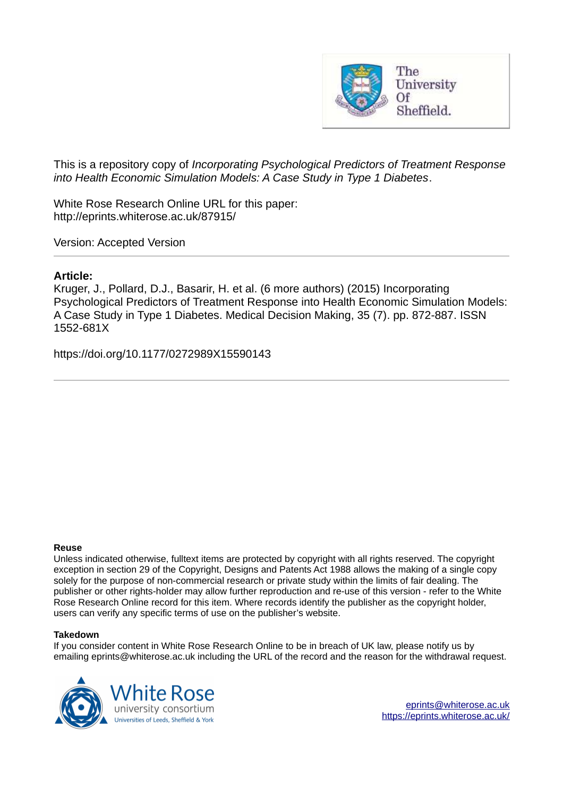

This is a repository copy of *Incorporating Psychological Predictors of Treatment Response into Health Economic Simulation Models: A Case Study in Type 1 Diabetes*.

White Rose Research Online URL for this paper: http://eprints.whiterose.ac.uk/87915/

Version: Accepted Version

# **Article:**

Kruger, J., Pollard, D.J., Basarir, H. et al. (6 more authors) (2015) Incorporating Psychological Predictors of Treatment Response into Health Economic Simulation Models: A Case Study in Type 1 Diabetes. Medical Decision Making, 35 (7). pp. 872-887. ISSN 1552-681X

https://doi.org/10.1177/0272989X15590143

#### **Reuse**

Unless indicated otherwise, fulltext items are protected by copyright with all rights reserved. The copyright exception in section 29 of the Copyright, Designs and Patents Act 1988 allows the making of a single copy solely for the purpose of non-commercial research or private study within the limits of fair dealing. The publisher or other rights-holder may allow further reproduction and re-use of this version - refer to the White Rose Research Online record for this item. Where records identify the publisher as the copyright holder, users can verify any specific terms of use on the publisher's website.

## **Takedown**

If you consider content in White Rose Research Online to be in breach of UK law, please notify us by emailing eprints@whiterose.ac.uk including the URL of the record and the reason for the withdrawal request.

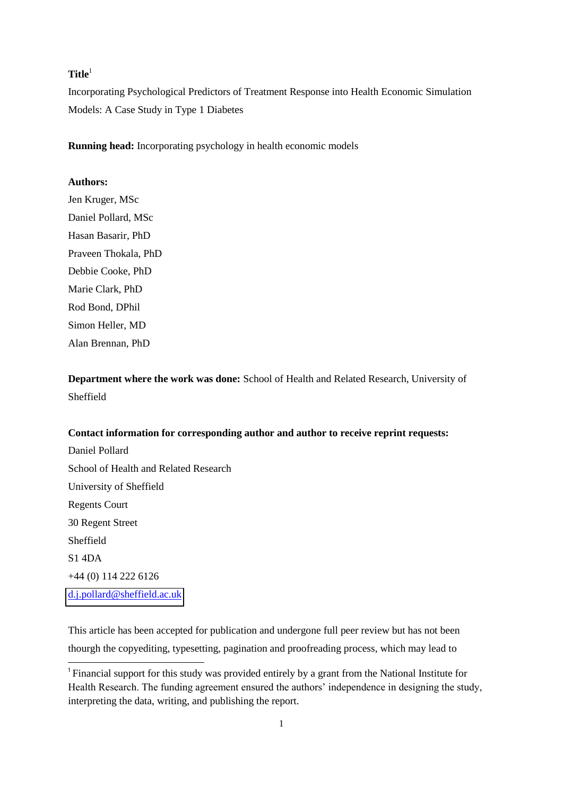# **Title**<sup>1</sup>

Incorporating Psychological Predictors of Treatment Response into Health Economic Simulation Models: A Case Study in Type 1 Diabetes

**Running head:** Incorporating psychology in health economic models

## **Authors:**

Jen Kruger, MSc Daniel Pollard, MSc Hasan Basarir, PhD Praveen Thokala, PhD Debbie Cooke, PhD Marie Clark, PhD Rod Bond, DPhil Simon Heller, MD Alan Brennan, PhD

**Department where the work was done:** School of Health and Related Research, University of Sheffield

## **Contact information for corresponding author and author to receive reprint requests:**

Daniel Pollard School of Health and Related Research University of Sheffield Regents Court 30 Regent Street Sheffield S1 4DA +44 (0) 114 222 6126 [d.j.pollard@sheffield.ac.uk](mailto:d.j.pollard@sheffield.ac.uk)

-

This article has been accepted for publication and undergone full peer review but has not been thourgh the copyediting, typesetting, pagination and proofreading process, which may lead to

<sup>&</sup>lt;sup>1</sup> Financial support for this study was provided entirely by a grant from the National Institute for Health Research. The funding agreement ensured the authors' independence in designing the study, interpreting the data, writing, and publishing the report.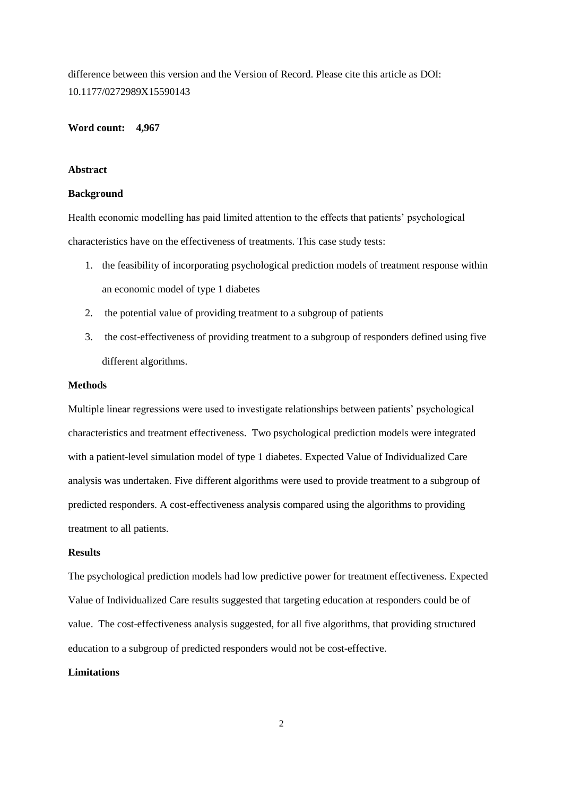difference between this version and the Version of Record. Please cite this article as DOI: 10.1177/0272989X15590143

#### **Word count: 4,967**

## **Abstract**

#### **Background**

Health economic modelling has paid limited attention to the effects that patients' psychological characteristics have on the effectiveness of treatments. This case study tests:

- 1. the feasibility of incorporating psychological prediction models of treatment response within an economic model of type 1 diabetes
- 2. the potential value of providing treatment to a subgroup of patients
- 3. the cost-effectiveness of providing treatment to a subgroup of responders defined using five different algorithms.

#### **Methods**

Multiple linear regressions were used to investigate relationships between patients' psychological characteristics and treatment effectiveness. Two psychological prediction models were integrated with a patient-level simulation model of type 1 diabetes. Expected Value of Individualized Care analysis was undertaken. Five different algorithms were used to provide treatment to a subgroup of predicted responders. A cost-effectiveness analysis compared using the algorithms to providing treatment to all patients.

## **Results**

The psychological prediction models had low predictive power for treatment effectiveness. Expected Value of Individualized Care results suggested that targeting education at responders could be of value. The cost-effectiveness analysis suggested, for all five algorithms, that providing structured education to a subgroup of predicted responders would not be cost-effective.

## **Limitations**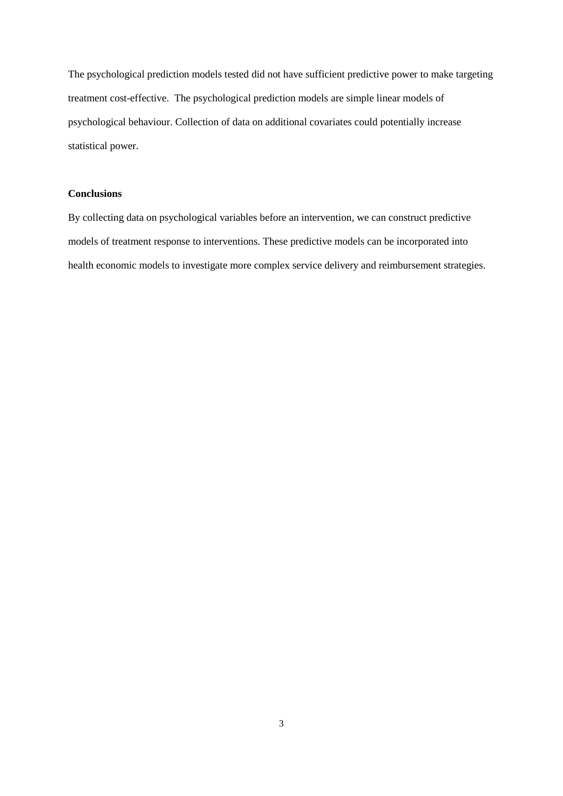The psychological prediction models tested did not have sufficient predictive power to make targeting treatment cost-effective. The psychological prediction models are simple linear models of psychological behaviour. Collection of data on additional covariates could potentially increase statistical power.

## **Conclusions**

By collecting data on psychological variables before an intervention, we can construct predictive models of treatment response to interventions. These predictive models can be incorporated into health economic models to investigate more complex service delivery and reimbursement strategies.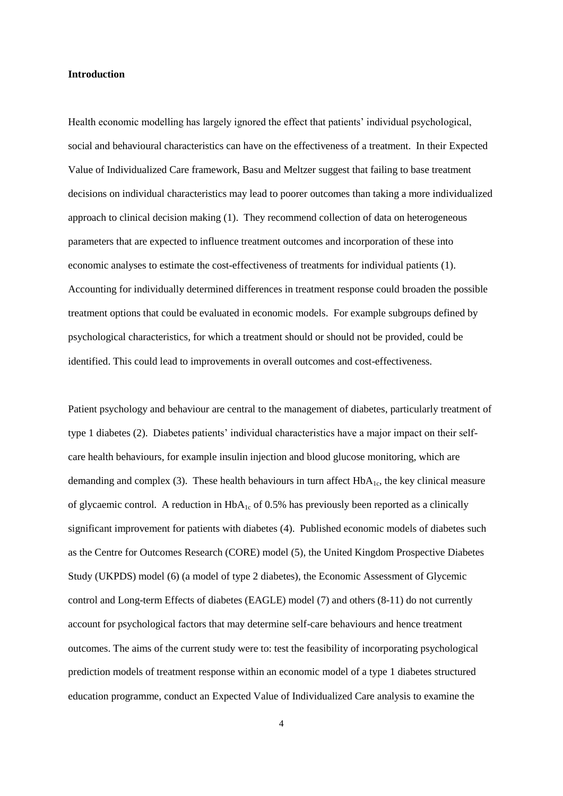#### **Introduction**

Health economic modelling has largely ignored the effect that patients' individual psychological, social and behavioural characteristics can have on the effectiveness of a treatment. In their Expected Value of Individualized Care framework, Basu and Meltzer suggest that failing to base treatment decisions on individual characteristics may lead to poorer outcomes than taking a more individualized approach to clinical decision making (1). They recommend collection of data on heterogeneous parameters that are expected to influence treatment outcomes and incorporation of these into economic analyses to estimate the cost-effectiveness of treatments for individual patients (1). Accounting for individually determined differences in treatment response could broaden the possible treatment options that could be evaluated in economic models. For example subgroups defined by psychological characteristics, for which a treatment should or should not be provided, could be identified. This could lead to improvements in overall outcomes and cost-effectiveness.

Patient psychology and behaviour are central to the management of diabetes, particularly treatment of type 1 diabetes (2). Diabetes patients' individual characteristics have a major impact on their selfcare health behaviours, for example insulin injection and blood glucose monitoring, which are demanding and complex (3). These health behaviours in turn affect  $HbA<sub>1c</sub>$ , the key clinical measure of glycaemic control. A reduction in  $HbA_{1c}$  of 0.5% has previously been reported as a clinically significant improvement for patients with diabetes (4). Published economic models of diabetes such as the Centre for Outcomes Research (CORE) model (5), the United Kingdom Prospective Diabetes Study (UKPDS) model (6) (a model of type 2 diabetes), the Economic Assessment of Glycemic control and Long-term Effects of diabetes (EAGLE) model (7) and others (8-11) do not currently account for psychological factors that may determine self-care behaviours and hence treatment outcomes. The aims of the current study were to: test the feasibility of incorporating psychological prediction models of treatment response within an economic model of a type 1 diabetes structured education programme, conduct an Expected Value of Individualized Care analysis to examine the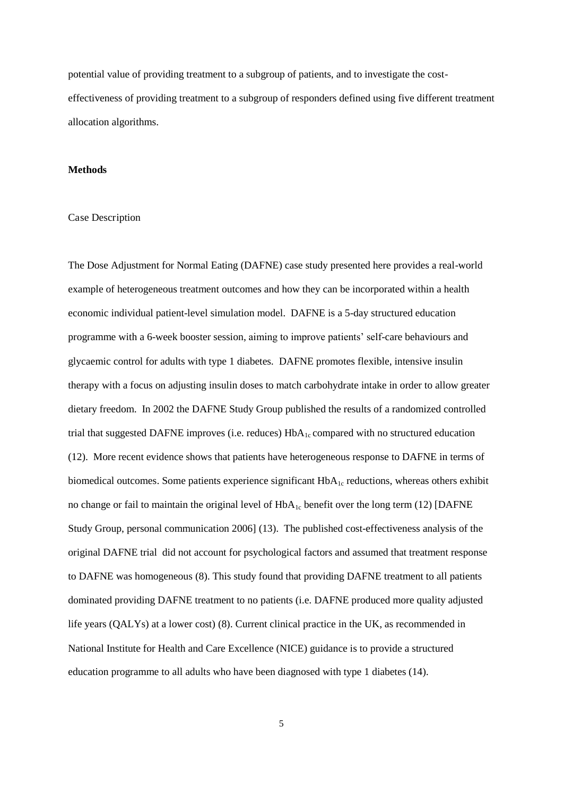potential value of providing treatment to a subgroup of patients, and to investigate the costeffectiveness of providing treatment to a subgroup of responders defined using five different treatment allocation algorithms.

## **Methods**

#### Case Description

The Dose Adjustment for Normal Eating (DAFNE) case study presented here provides a real-world example of heterogeneous treatment outcomes and how they can be incorporated within a health economic individual patient-level simulation model. DAFNE is a 5-day structured education programme with a 6-week booster session, aiming to improve patients' self-care behaviours and glycaemic control for adults with type 1 diabetes. DAFNE promotes flexible, intensive insulin therapy with a focus on adjusting insulin doses to match carbohydrate intake in order to allow greater dietary freedom. In 2002 the DAFNE Study Group published the results of a randomized controlled trial that suggested DAFNE improves (i.e. reduces)  $HbA_{1c}$  compared with no structured education (12). More recent evidence shows that patients have heterogeneous response to DAFNE in terms of biomedical outcomes. Some patients experience significant  $HbA_{1c}$  reductions, whereas others exhibit no change or fail to maintain the original level of  $HbA_{1c}$  benefit over the long term (12) [DAFNE Study Group, personal communication 2006] (13). The published cost-effectiveness analysis of the original DAFNE trial did not account for psychological factors and assumed that treatment response to DAFNE was homogeneous (8). This study found that providing DAFNE treatment to all patients dominated providing DAFNE treatment to no patients (i.e. DAFNE produced more quality adjusted life years (QALYs) at a lower cost) (8). Current clinical practice in the UK, as recommended in National Institute for Health and Care Excellence (NICE) guidance is to provide a structured education programme to all adults who have been diagnosed with type 1 diabetes (14).

5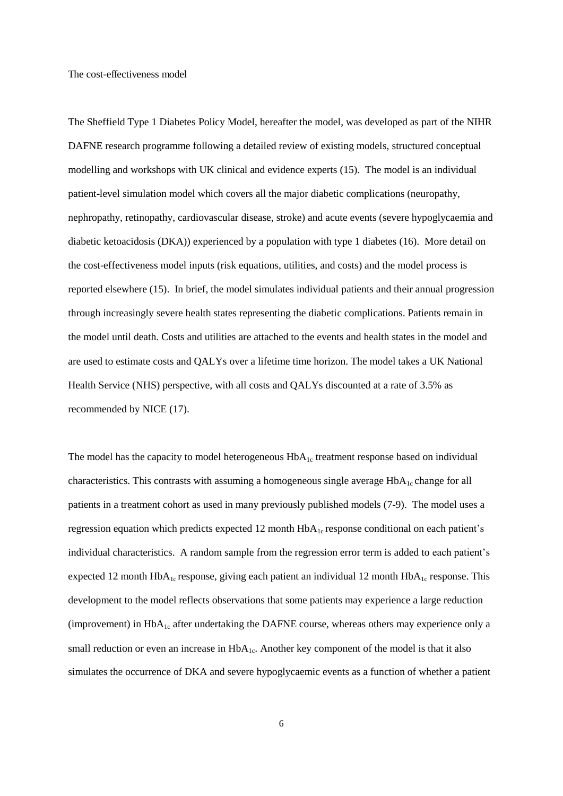The cost-effectiveness model

The Sheffield Type 1 Diabetes Policy Model, hereafter the model, was developed as part of the NIHR DAFNE research programme following a detailed review of existing models, structured conceptual modelling and workshops with UK clinical and evidence experts (15). The model is an individual patient-level simulation model which covers all the major diabetic complications (neuropathy, nephropathy, retinopathy, cardiovascular disease, stroke) and acute events (severe hypoglycaemia and diabetic ketoacidosis (DKA)) experienced by a population with type 1 diabetes (16). More detail on the cost-effectiveness model inputs (risk equations, utilities, and costs) and the model process is reported elsewhere (15). In brief, the model simulates individual patients and their annual progression through increasingly severe health states representing the diabetic complications. Patients remain in the model until death. Costs and utilities are attached to the events and health states in the model and are used to estimate costs and QALYs over a lifetime time horizon. The model takes a UK National Health Service (NHS) perspective, with all costs and QALYs discounted at a rate of 3.5% as recommended by NICE (17).

The model has the capacity to model heterogeneous  $HbA_{1c}$  treatment response based on individual characteristics. This contrasts with assuming a homogeneous single average  $HbA<sub>1c</sub>$  change for all patients in a treatment cohort as used in many previously published models (7-9). The model uses a regression equation which predicts expected 12 month HbA<sub>1c</sub> response conditional on each patient's individual characteristics. A random sample from the regression error term is added to each patient's expected 12 month  $HbA_{1c}$  response, giving each patient an individual 12 month  $HbA_{1c}$  response. This development to the model reflects observations that some patients may experience a large reduction (improvement) in HbA<sub>1c</sub> after undertaking the DAFNE course, whereas others may experience only a small reduction or even an increase in  $HbA<sub>1c</sub>$ . Another key component of the model is that it also simulates the occurrence of DKA and severe hypoglycaemic events as a function of whether a patient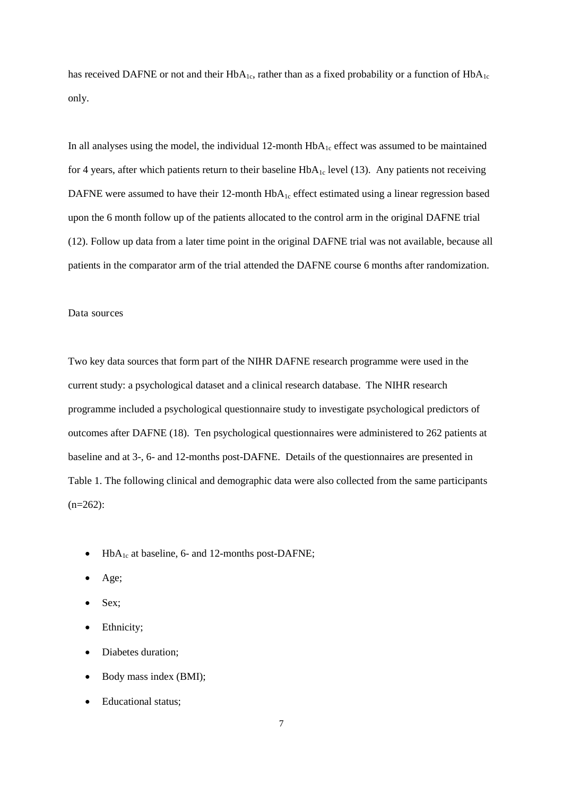has received DAFNE or not and their  $HbA_{1c}$ , rather than as a fixed probability or a function of  $HbA_{1c}$ only.

In all analyses using the model, the individual 12-month  $HbA_{1c}$  effect was assumed to be maintained for 4 years, after which patients return to their baseline  $HbA_{1c}$  level (13). Any patients not receiving DAFNE were assumed to have their 12-month  $HbA_{1c}$  effect estimated using a linear regression based upon the 6 month follow up of the patients allocated to the control arm in the original DAFNE trial (12). Follow up data from a later time point in the original DAFNE trial was not available, because all patients in the comparator arm of the trial attended the DAFNE course 6 months after randomization.

#### Data sources

Two key data sources that form part of the NIHR DAFNE research programme were used in the current study: a psychological dataset and a clinical research database. The NIHR research programme included a psychological questionnaire study to investigate psychological predictors of outcomes after DAFNE (18). Ten psychological questionnaires were administered to 262 patients at baseline and at 3-, 6- and 12-months post-DAFNE. Details of the questionnaires are presented in Table 1. The following clinical and demographic data were also collected from the same participants  $(n=262)$ :

- $\bullet$  HbA<sub>1c</sub> at baseline, 6- and 12-months post-DAFNE;
- Age;
- Sex;
- Ethnicity;
- Diabetes duration;
- Body mass index (BMI);
- Educational status;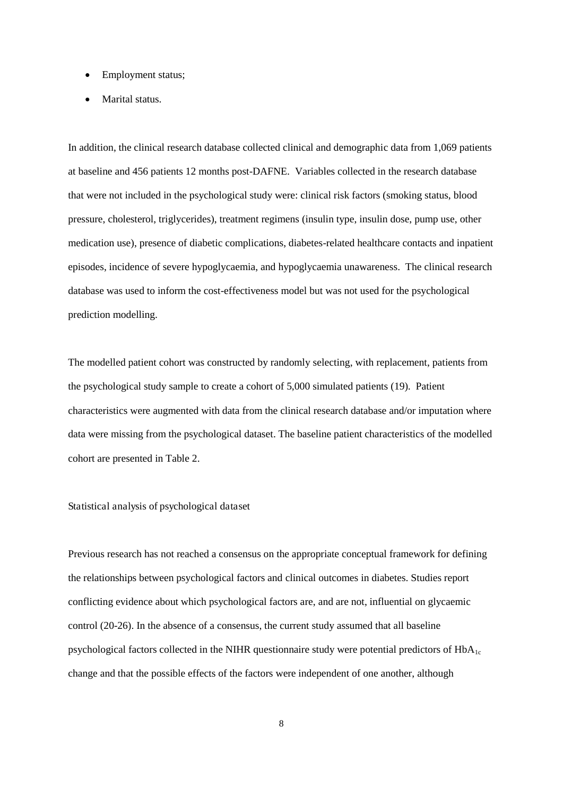- Employment status;
- Marital status.

In addition, the clinical research database collected clinical and demographic data from 1,069 patients at baseline and 456 patients 12 months post-DAFNE. Variables collected in the research database that were not included in the psychological study were: clinical risk factors (smoking status, blood pressure, cholesterol, triglycerides), treatment regimens (insulin type, insulin dose, pump use, other medication use), presence of diabetic complications, diabetes-related healthcare contacts and inpatient episodes, incidence of severe hypoglycaemia, and hypoglycaemia unawareness. The clinical research database was used to inform the cost-effectiveness model but was not used for the psychological prediction modelling.

The modelled patient cohort was constructed by randomly selecting, with replacement, patients from the psychological study sample to create a cohort of 5,000 simulated patients (19). Patient characteristics were augmented with data from the clinical research database and/or imputation where data were missing from the psychological dataset. The baseline patient characteristics of the modelled cohort are presented in Table 2.

## Statistical analysis of psychological dataset

Previous research has not reached a consensus on the appropriate conceptual framework for defining the relationships between psychological factors and clinical outcomes in diabetes. Studies report conflicting evidence about which psychological factors are, and are not, influential on glycaemic control (20-26). In the absence of a consensus, the current study assumed that all baseline psychological factors collected in the NIHR questionnaire study were potential predictors of  $HbA_{1c}$ change and that the possible effects of the factors were independent of one another, although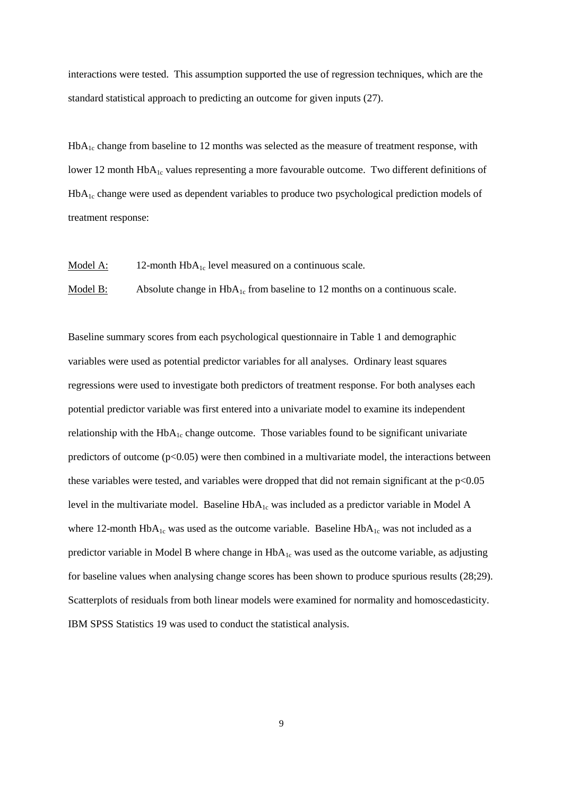interactions were tested. This assumption supported the use of regression techniques, which are the standard statistical approach to predicting an outcome for given inputs (27).

 $HbA<sub>1c</sub>$  change from baseline to 12 months was selected as the measure of treatment response, with lower 12 month HbA<sub>1c</sub> values representing a more favourable outcome. Two different definitions of  $HbA<sub>1c</sub>$  change were used as dependent variables to produce two psychological prediction models of treatment response:

Model A:  $12$ -month  $HbA_{1c}$  level measured on a continuous scale.

Model B: Absolute change in  $HbA_{1c}$  from baseline to 12 months on a continuous scale.

Baseline summary scores from each psychological questionnaire in Table 1 and demographic variables were used as potential predictor variables for all analyses. Ordinary least squares regressions were used to investigate both predictors of treatment response. For both analyses each potential predictor variable was first entered into a univariate model to examine its independent relationship with the  $HbA_{1c}$  change outcome. Those variables found to be significant univariate predictors of outcome  $(p<0.05)$  were then combined in a multivariate model, the interactions between these variables were tested, and variables were dropped that did not remain significant at the  $p<0.05$ level in the multivariate model. Baseline  $HbA_{1c}$  was included as a predictor variable in Model A where 12-month  $HbA_{1c}$  was used as the outcome variable. Baseline  $HbA_{1c}$  was not included as a predictor variable in Model B where change in  $HbA_{1c}$  was used as the outcome variable, as adjusting for baseline values when analysing change scores has been shown to produce spurious results (28;29). Scatterplots of residuals from both linear models were examined for normality and homoscedasticity. IBM SPSS Statistics 19 was used to conduct the statistical analysis.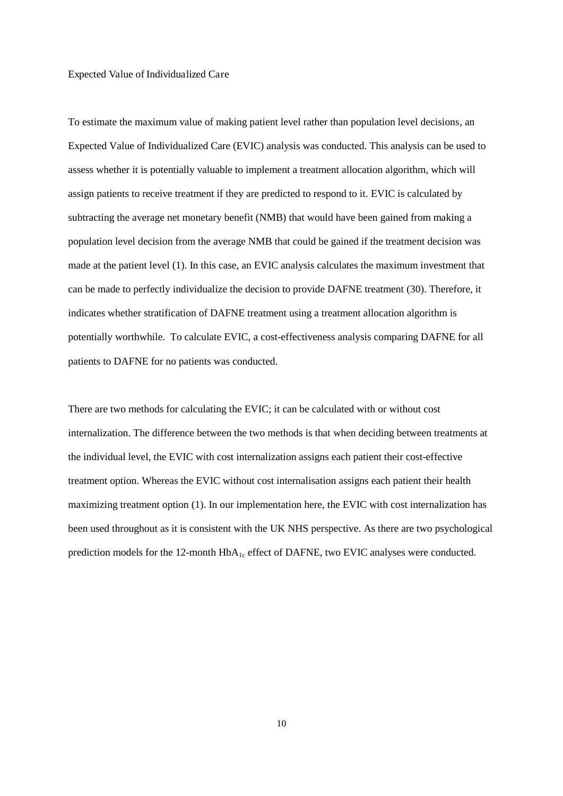#### Expected Value of Individualized Care

To estimate the maximum value of making patient level rather than population level decisions, an Expected Value of Individualized Care (EVIC) analysis was conducted. This analysis can be used to assess whether it is potentially valuable to implement a treatment allocation algorithm, which will assign patients to receive treatment if they are predicted to respond to it. EVIC is calculated by subtracting the average net monetary benefit (NMB) that would have been gained from making a population level decision from the average NMB that could be gained if the treatment decision was made at the patient level (1). In this case, an EVIC analysis calculates the maximum investment that can be made to perfectly individualize the decision to provide DAFNE treatment (30). Therefore, it indicates whether stratification of DAFNE treatment using a treatment allocation algorithm is potentially worthwhile. To calculate EVIC, a cost-effectiveness analysis comparing DAFNE for all patients to DAFNE for no patients was conducted.

There are two methods for calculating the EVIC; it can be calculated with or without cost internalization. The difference between the two methods is that when deciding between treatments at the individual level, the EVIC with cost internalization assigns each patient their cost-effective treatment option. Whereas the EVIC without cost internalisation assigns each patient their health maximizing treatment option (1). In our implementation here, the EVIC with cost internalization has been used throughout as it is consistent with the UK NHS perspective. As there are two psychological prediction models for the 12-month HbA<sub>1c</sub> effect of DAFNE, two EVIC analyses were conducted.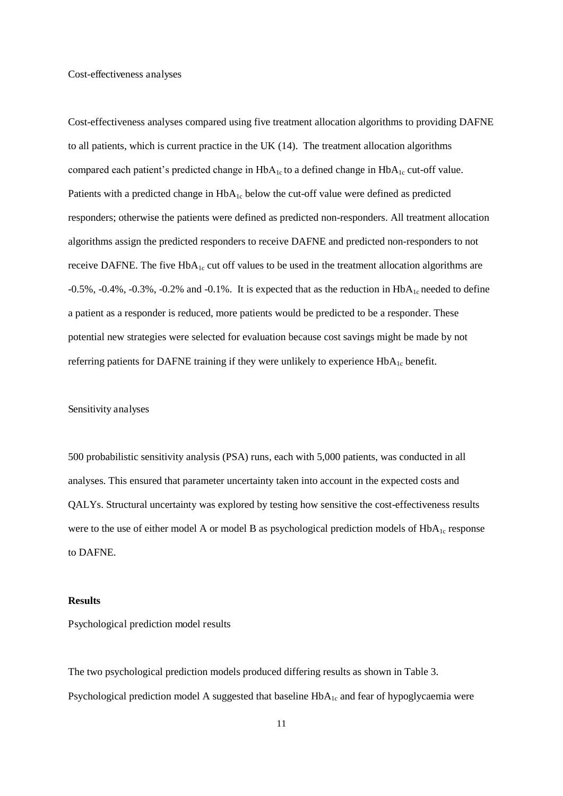Cost-effectiveness analyses

Cost-effectiveness analyses compared using five treatment allocation algorithms to providing DAFNE to all patients, which is current practice in the UK (14). The treatment allocation algorithms compared each patient's predicted change in  $HbA_{1c}$  to a defined change in  $HbA_{1c}$  cut-off value. Patients with a predicted change in  $HbA_{1c}$  below the cut-off value were defined as predicted responders; otherwise the patients were defined as predicted non-responders. All treatment allocation algorithms assign the predicted responders to receive DAFNE and predicted non-responders to not receive DAFNE. The five  $HbA_{1c}$  cut off values to be used in the treatment allocation algorithms are  $-0.5\%$ ,  $-0.4\%$ ,  $-0.3\%$ ,  $-0.2\%$  and  $-0.1\%$ . It is expected that as the reduction in HbA<sub>1c</sub> needed to define a patient as a responder is reduced, more patients would be predicted to be a responder. These potential new strategies were selected for evaluation because cost savings might be made by not referring patients for DAFNE training if they were unlikely to experience  $HbA_{1c}$  benefit.

#### Sensitivity analyses

500 probabilistic sensitivity analysis (PSA) runs, each with 5,000 patients, was conducted in all analyses. This ensured that parameter uncertainty taken into account in the expected costs and QALYs. Structural uncertainty was explored by testing how sensitive the cost-effectiveness results were to the use of either model A or model B as psychological prediction models of  $HbA<sub>1c</sub>$  response to DAFNE.

## **Results**

Psychological prediction model results

The two psychological prediction models produced differing results as shown in Table 3. Psychological prediction model A suggested that baseline  $HbA_{1c}$  and fear of hypoglycaemia were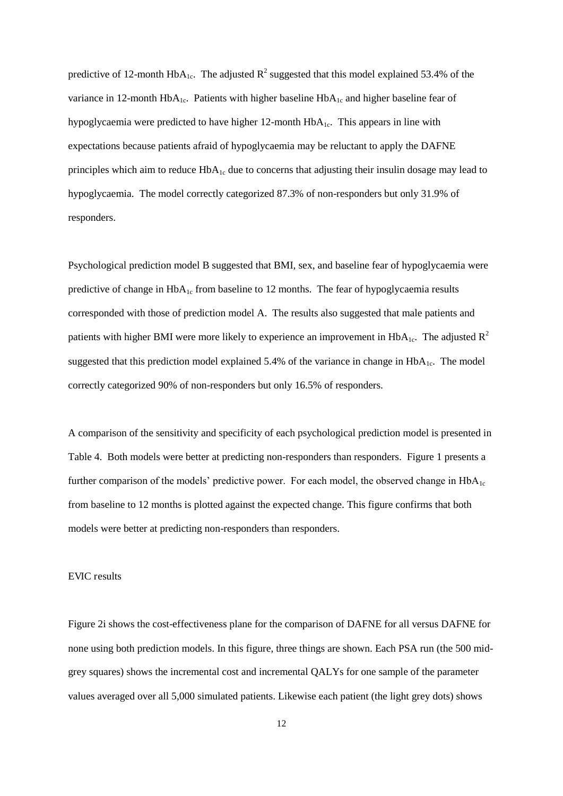predictive of 12-month  $HbA_{1c}$ . The adjusted  $R^2$  suggested that this model explained 53.4% of the variance in 12-month HbA<sub>1c</sub>. Patients with higher baseline HbA<sub>1c</sub> and higher baseline fear of hypoglycaemia were predicted to have higher 12-month HbA1c. This appears in line with expectations because patients afraid of hypoglycaemia may be reluctant to apply the DAFNE principles which aim to reduce  $HbA_{1c}$  due to concerns that adjusting their insulin dosage may lead to hypoglycaemia. The model correctly categorized 87.3% of non-responders but only 31.9% of responders.

Psychological prediction model B suggested that BMI, sex, and baseline fear of hypoglycaemia were predictive of change in  $HbA_{1c}$  from baseline to 12 months. The fear of hypoglycaemia results corresponded with those of prediction model A. The results also suggested that male patients and patients with higher BMI were more likely to experience an improvement in  $HbA<sub>1c</sub>$ . The adjusted  $R<sup>2</sup>$ suggested that this prediction model explained 5.4% of the variance in change in  $HbA_{1c}$ . The model correctly categorized 90% of non-responders but only 16.5% of responders.

A comparison of the sensitivity and specificity of each psychological prediction model is presented in Table 4. Both models were better at predicting non-responders than responders. Figure 1 presents a further comparison of the models' predictive power. For each model, the observed change in  $HbA_{1c}$ from baseline to 12 months is plotted against the expected change. This figure confirms that both models were better at predicting non-responders than responders.

#### EVIC results

Figure 2i shows the cost-effectiveness plane for the comparison of DAFNE for all versus DAFNE for none using both prediction models. In this figure, three things are shown. Each PSA run (the 500 midgrey squares) shows the incremental cost and incremental QALYs for one sample of the parameter values averaged over all 5,000 simulated patients. Likewise each patient (the light grey dots) shows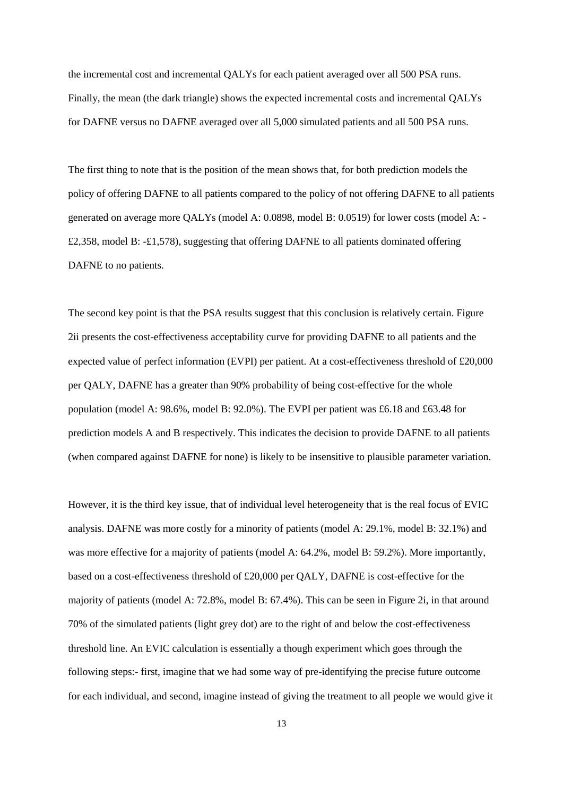the incremental cost and incremental QALYs for each patient averaged over all 500 PSA runs. Finally, the mean (the dark triangle) shows the expected incremental costs and incremental QALYs for DAFNE versus no DAFNE averaged over all 5,000 simulated patients and all 500 PSA runs.

The first thing to note that is the position of the mean shows that, for both prediction models the policy of offering DAFNE to all patients compared to the policy of not offering DAFNE to all patients generated on average more QALYs (model A: 0.0898, model B: 0.0519) for lower costs (model A: - £2,358, model B: -£1,578), suggesting that offering DAFNE to all patients dominated offering DAFNE to no patients.

The second key point is that the PSA results suggest that this conclusion is relatively certain. Figure 2ii presents the cost-effectiveness acceptability curve for providing DAFNE to all patients and the expected value of perfect information (EVPI) per patient. At a cost-effectiveness threshold of £20,000 per QALY, DAFNE has a greater than 90% probability of being cost-effective for the whole population (model A: 98.6%, model B: 92.0%). The EVPI per patient was £6.18 and £63.48 for prediction models A and B respectively. This indicates the decision to provide DAFNE to all patients (when compared against DAFNE for none) is likely to be insensitive to plausible parameter variation.

However, it is the third key issue, that of individual level heterogeneity that is the real focus of EVIC analysis. DAFNE was more costly for a minority of patients (model A: 29.1%, model B: 32.1%) and was more effective for a majority of patients (model A: 64.2%, model B: 59.2%). More importantly, based on a cost-effectiveness threshold of £20,000 per QALY, DAFNE is cost-effective for the majority of patients (model A: 72.8%, model B: 67.4%). This can be seen in Figure 2i, in that around 70% of the simulated patients (light grey dot) are to the right of and below the cost-effectiveness threshold line. An EVIC calculation is essentially a though experiment which goes through the following steps:- first, imagine that we had some way of pre-identifying the precise future outcome for each individual, and second, imagine instead of giving the treatment to all people we would give it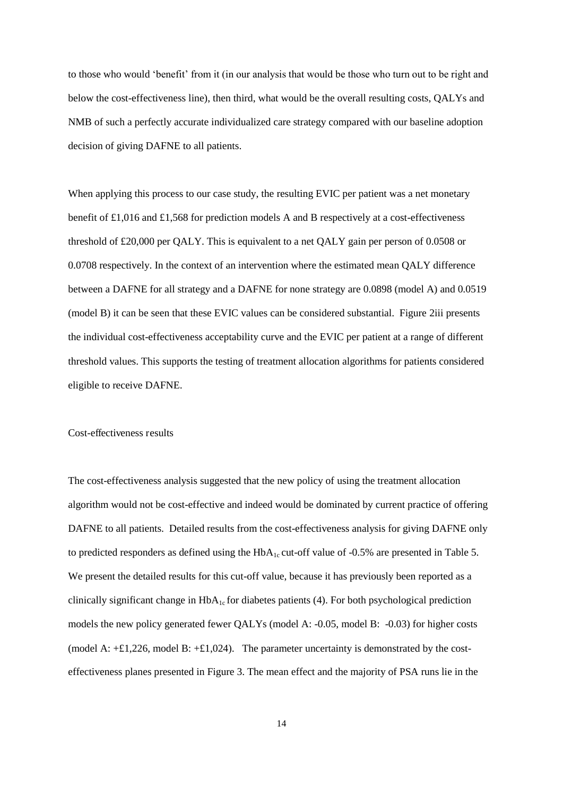to those who would 'benefit' from it (in our analysis that would be those who turn out to be right and below the cost-effectiveness line), then third, what would be the overall resulting costs, QALYs and NMB of such a perfectly accurate individualized care strategy compared with our baseline adoption decision of giving DAFNE to all patients.

When applying this process to our case study, the resulting EVIC per patient was a net monetary benefit of £1,016 and £1,568 for prediction models A and B respectively at a cost-effectiveness threshold of £20,000 per QALY. This is equivalent to a net QALY gain per person of 0.0508 or 0.0708 respectively. In the context of an intervention where the estimated mean QALY difference between a DAFNE for all strategy and a DAFNE for none strategy are 0.0898 (model A) and 0.0519 (model B) it can be seen that these EVIC values can be considered substantial. Figure 2iii presents the individual cost-effectiveness acceptability curve and the EVIC per patient at a range of different threshold values. This supports the testing of treatment allocation algorithms for patients considered eligible to receive DAFNE.

#### Cost-effectiveness results

The cost-effectiveness analysis suggested that the new policy of using the treatment allocation algorithm would not be cost-effective and indeed would be dominated by current practice of offering DAFNE to all patients. Detailed results from the cost-effectiveness analysis for giving DAFNE only to predicted responders as defined using the  $HbA_{1c}$  cut-off value of -0.5% are presented in Table 5. We present the detailed results for this cut-off value, because it has previously been reported as a clinically significant change in  $HbA_{1c}$  for diabetes patients (4). For both psychological prediction models the new policy generated fewer QALYs (model A: -0.05, model B: -0.03) for higher costs (model A:  $\pm$ 1,226, model B:  $\pm$ 1,024). The parameter uncertainty is demonstrated by the costeffectiveness planes presented in Figure 3. The mean effect and the majority of PSA runs lie in the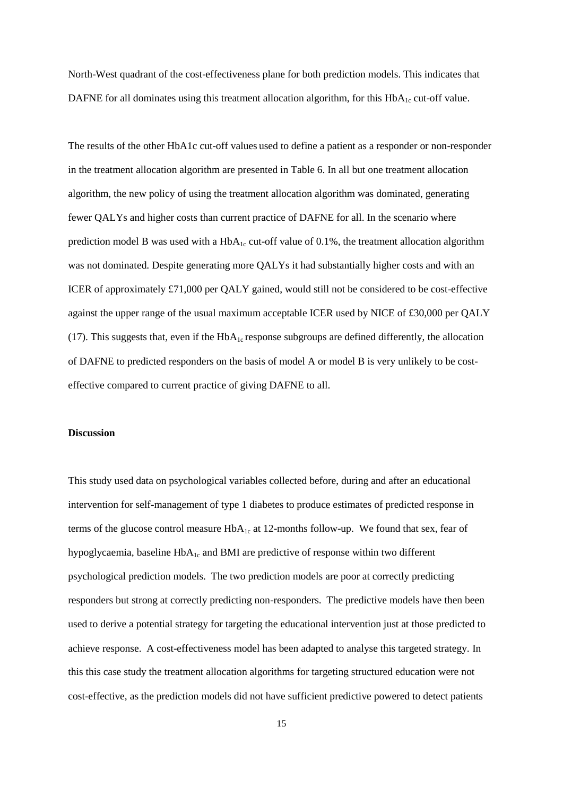North-West quadrant of the cost-effectiveness plane for both prediction models. This indicates that DAFNE for all dominates using this treatment allocation algorithm, for this  $HbA<sub>1c</sub>$  cut-off value.

The results of the other HbA1c cut-off values used to define a patient as a responder or non-responder in the treatment allocation algorithm are presented in Table 6. In all but one treatment allocation algorithm, the new policy of using the treatment allocation algorithm was dominated, generating fewer QALYs and higher costs than current practice of DAFNE for all. In the scenario where prediction model B was used with a  $HbA_{1c}$  cut-off value of 0.1%, the treatment allocation algorithm was not dominated. Despite generating more QALYs it had substantially higher costs and with an ICER of approximately £71,000 per QALY gained, would still not be considered to be cost-effective against the upper range of the usual maximum acceptable ICER used by NICE of £30,000 per QALY (17). This suggests that, even if the  $HbA_{1c}$  response subgroups are defined differently, the allocation of DAFNE to predicted responders on the basis of model A or model B is very unlikely to be costeffective compared to current practice of giving DAFNE to all.

#### **Discussion**

This study used data on psychological variables collected before, during and after an educational intervention for self-management of type 1 diabetes to produce estimates of predicted response in terms of the glucose control measure  $HbA_{1c}$  at 12-months follow-up. We found that sex, fear of hypoglycaemia, baseline  $HbA_{1c}$  and BMI are predictive of response within two different psychological prediction models. The two prediction models are poor at correctly predicting responders but strong at correctly predicting non-responders. The predictive models have then been used to derive a potential strategy for targeting the educational intervention just at those predicted to achieve response. A cost-effectiveness model has been adapted to analyse this targeted strategy. In this this case study the treatment allocation algorithms for targeting structured education were not cost-effective, as the prediction models did not have sufficient predictive powered to detect patients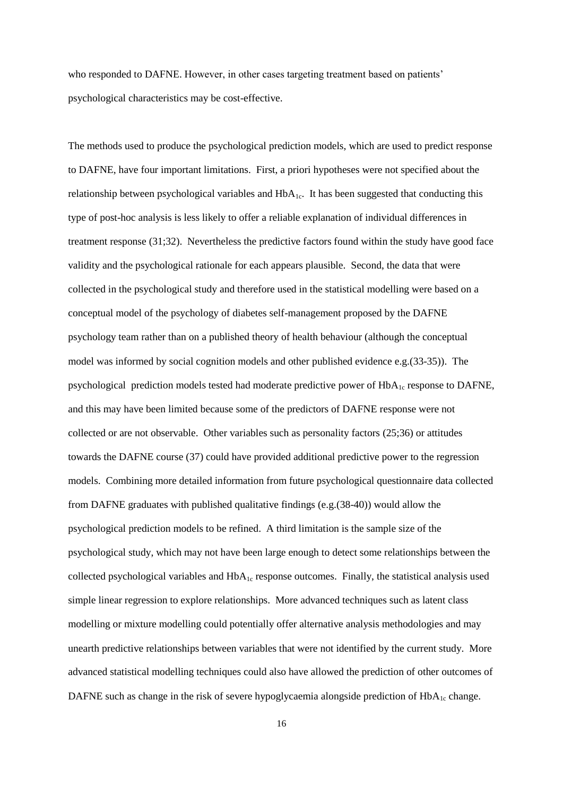who responded to DAFNE. However, in other cases targeting treatment based on patients' psychological characteristics may be cost-effective.

The methods used to produce the psychological prediction models, which are used to predict response to DAFNE, have four important limitations. First, a priori hypotheses were not specified about the relationship between psychological variables and  $HbA_{1c}$ . It has been suggested that conducting this type of post-hoc analysis is less likely to offer a reliable explanation of individual differences in treatment response (31;32). Nevertheless the predictive factors found within the study have good face validity and the psychological rationale for each appears plausible. Second, the data that were collected in the psychological study and therefore used in the statistical modelling were based on a conceptual model of the psychology of diabetes self-management proposed by the DAFNE psychology team rather than on a published theory of health behaviour (although the conceptual model was informed by social cognition models and other published evidence e.g.(33-35)). The psychological prediction models tested had moderate predictive power of HbA<sub>1c</sub> response to DAFNE, and this may have been limited because some of the predictors of DAFNE response were not collected or are not observable. Other variables such as personality factors (25;36) or attitudes towards the DAFNE course (37) could have provided additional predictive power to the regression models. Combining more detailed information from future psychological questionnaire data collected from DAFNE graduates with published qualitative findings (e.g.(38-40)) would allow the psychological prediction models to be refined. A third limitation is the sample size of the psychological study, which may not have been large enough to detect some relationships between the collected psychological variables and  $HbA_{1c}$  response outcomes. Finally, the statistical analysis used simple linear regression to explore relationships. More advanced techniques such as latent class modelling or mixture modelling could potentially offer alternative analysis methodologies and may unearth predictive relationships between variables that were not identified by the current study. More advanced statistical modelling techniques could also have allowed the prediction of other outcomes of DAFNE such as change in the risk of severe hypoglycaemia alongside prediction of  $HbA<sub>1c</sub>$  change.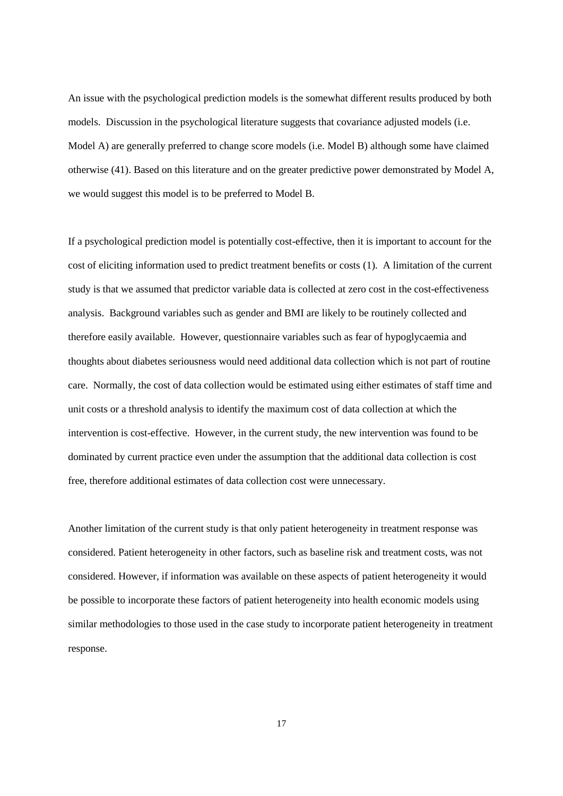An issue with the psychological prediction models is the somewhat different results produced by both models. Discussion in the psychological literature suggests that covariance adjusted models (i.e. Model A) are generally preferred to change score models (i.e. Model B) although some have claimed otherwise (41). Based on this literature and on the greater predictive power demonstrated by Model A, we would suggest this model is to be preferred to Model B.

If a psychological prediction model is potentially cost-effective, then it is important to account for the cost of eliciting information used to predict treatment benefits or costs (1). A limitation of the current study is that we assumed that predictor variable data is collected at zero cost in the cost-effectiveness analysis. Background variables such as gender and BMI are likely to be routinely collected and therefore easily available. However, questionnaire variables such as fear of hypoglycaemia and thoughts about diabetes seriousness would need additional data collection which is not part of routine care. Normally, the cost of data collection would be estimated using either estimates of staff time and unit costs or a threshold analysis to identify the maximum cost of data collection at which the intervention is cost-effective. However, in the current study, the new intervention was found to be dominated by current practice even under the assumption that the additional data collection is cost free, therefore additional estimates of data collection cost were unnecessary.

Another limitation of the current study is that only patient heterogeneity in treatment response was considered. Patient heterogeneity in other factors, such as baseline risk and treatment costs, was not considered. However, if information was available on these aspects of patient heterogeneity it would be possible to incorporate these factors of patient heterogeneity into health economic models using similar methodologies to those used in the case study to incorporate patient heterogeneity in treatment response.

17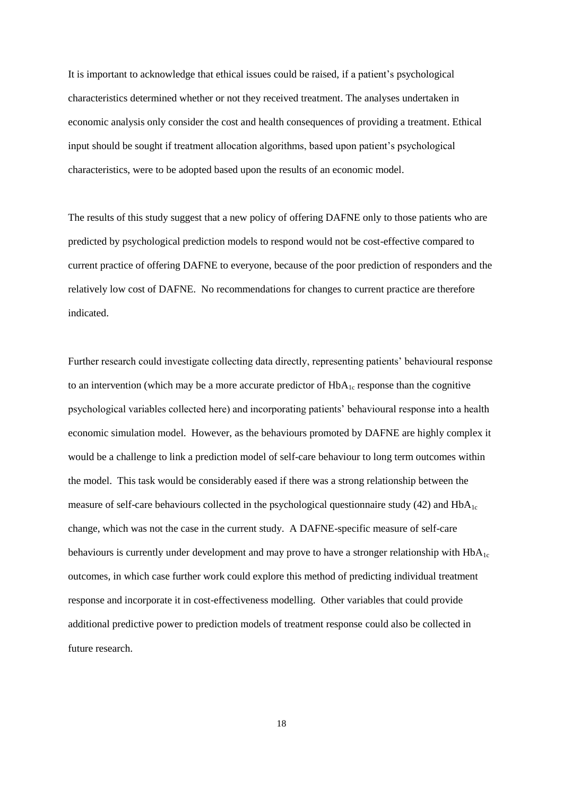It is important to acknowledge that ethical issues could be raised, if a patient's psychological characteristics determined whether or not they received treatment. The analyses undertaken in economic analysis only consider the cost and health consequences of providing a treatment. Ethical input should be sought if treatment allocation algorithms, based upon patient's psychological characteristics, were to be adopted based upon the results of an economic model.

The results of this study suggest that a new policy of offering DAFNE only to those patients who are predicted by psychological prediction models to respond would not be cost-effective compared to current practice of offering DAFNE to everyone, because of the poor prediction of responders and the relatively low cost of DAFNE. No recommendations for changes to current practice are therefore indicated.

Further research could investigate collecting data directly, representing patients' behavioural response to an intervention (which may be a more accurate predictor of  $HbA_{1c}$  response than the cognitive psychological variables collected here) and incorporating patients' behavioural response into a health economic simulation model. However, as the behaviours promoted by DAFNE are highly complex it would be a challenge to link a prediction model of self-care behaviour to long term outcomes within the model. This task would be considerably eased if there was a strong relationship between the measure of self-care behaviours collected in the psychological questionnaire study (42) and  $HbA<sub>1c</sub>$ change, which was not the case in the current study. A DAFNE-specific measure of self-care behaviours is currently under development and may prove to have a stronger relationship with  $HbA<sub>1c</sub>$ outcomes, in which case further work could explore this method of predicting individual treatment response and incorporate it in cost-effectiveness modelling. Other variables that could provide additional predictive power to prediction models of treatment response could also be collected in future research.

18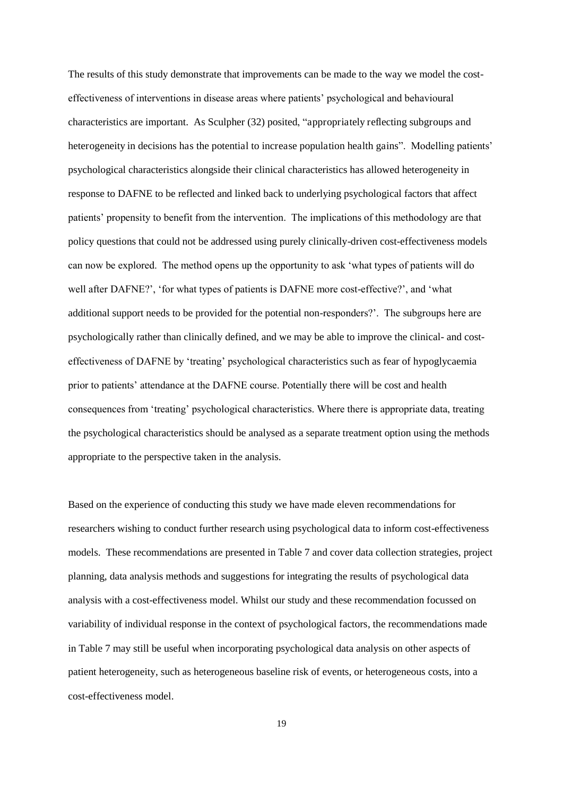The results of this study demonstrate that improvements can be made to the way we model the costeffectiveness of interventions in disease areas where patients' psychological and behavioural characteristics are important. As Sculpher (32) posited, "appropriately reflecting subgroups and heterogeneity in decisions has the potential to increase population health gains". Modelling patients' psychological characteristics alongside their clinical characteristics has allowed heterogeneity in response to DAFNE to be reflected and linked back to underlying psychological factors that affect patients' propensity to benefit from the intervention. The implications of this methodology are that policy questions that could not be addressed using purely clinically-driven cost-effectiveness models can now be explored. The method opens up the opportunity to ask 'what types of patients will do well after DAFNE?', 'for what types of patients is DAFNE more cost-effective?', and 'what additional support needs to be provided for the potential non-responders?'. The subgroups here are psychologically rather than clinically defined, and we may be able to improve the clinical- and costeffectiveness of DAFNE by 'treating' psychological characteristics such as fear of hypoglycaemia prior to patients' attendance at the DAFNE course. Potentially there will be cost and health consequences from 'treating' psychological characteristics. Where there is appropriate data, treating the psychological characteristics should be analysed as a separate treatment option using the methods appropriate to the perspective taken in the analysis.

Based on the experience of conducting this study we have made eleven recommendations for researchers wishing to conduct further research using psychological data to inform cost-effectiveness models. These recommendations are presented in Table 7 and cover data collection strategies, project planning, data analysis methods and suggestions for integrating the results of psychological data analysis with a cost-effectiveness model. Whilst our study and these recommendation focussed on variability of individual response in the context of psychological factors, the recommendations made in Table 7 may still be useful when incorporating psychological data analysis on other aspects of patient heterogeneity, such as heterogeneous baseline risk of events, or heterogeneous costs, into a cost-effectiveness model.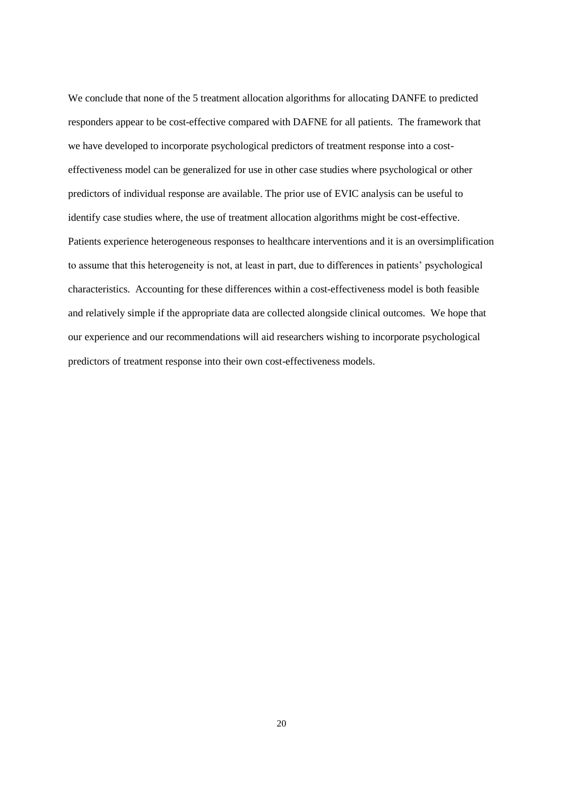We conclude that none of the 5 treatment allocation algorithms for allocating DANFE to predicted responders appear to be cost-effective compared with DAFNE for all patients. The framework that we have developed to incorporate psychological predictors of treatment response into a costeffectiveness model can be generalized for use in other case studies where psychological or other predictors of individual response are available. The prior use of EVIC analysis can be useful to identify case studies where, the use of treatment allocation algorithms might be cost-effective. Patients experience heterogeneous responses to healthcare interventions and it is an oversimplification to assume that this heterogeneity is not, at least in part, due to differences in patients' psychological characteristics. Accounting for these differences within a cost-effectiveness model is both feasible and relatively simple if the appropriate data are collected alongside clinical outcomes. We hope that our experience and our recommendations will aid researchers wishing to incorporate psychological predictors of treatment response into their own cost-effectiveness models.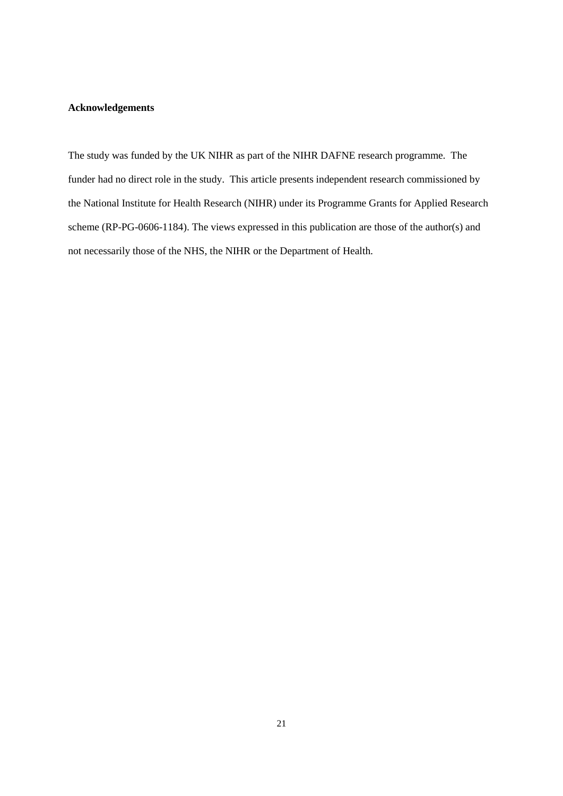## **Acknowledgements**

The study was funded by the UK NIHR as part of the NIHR DAFNE research programme. The funder had no direct role in the study. This article presents independent research commissioned by the National Institute for Health Research (NIHR) under its Programme Grants for Applied Research scheme (RP-PG-0606-1184). The views expressed in this publication are those of the author(s) and not necessarily those of the NHS, the NIHR or the Department of Health.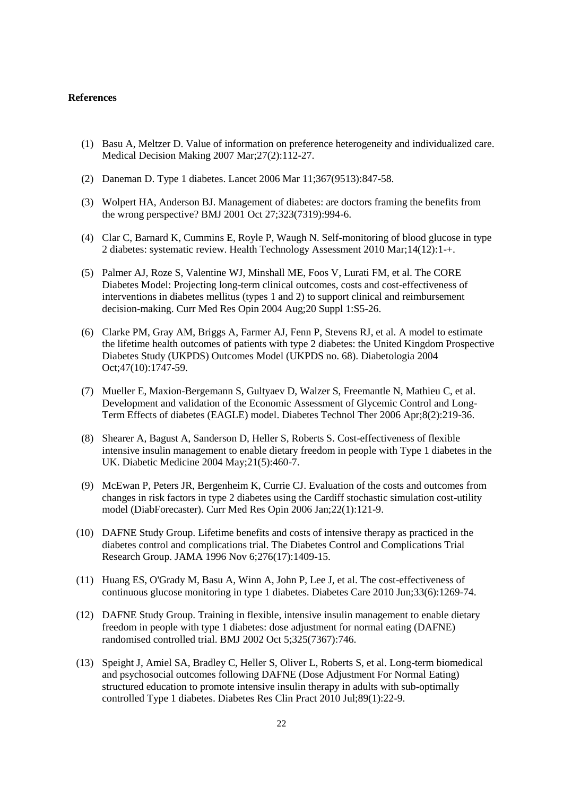#### **References**

- (1) Basu A, Meltzer D. Value of information on preference heterogeneity and individualized care. Medical Decision Making 2007 Mar;27(2):112-27.
- (2) Daneman D. Type 1 diabetes. Lancet 2006 Mar 11;367(9513):847-58.
- (3) Wolpert HA, Anderson BJ. Management of diabetes: are doctors framing the benefits from the wrong perspective? BMJ 2001 Oct 27;323(7319):994-6.
- (4) Clar C, Barnard K, Cummins E, Royle P, Waugh N. Self-monitoring of blood glucose in type 2 diabetes: systematic review. Health Technology Assessment 2010 Mar;14(12):1-+.
- (5) Palmer AJ, Roze S, Valentine WJ, Minshall ME, Foos V, Lurati FM, et al. The CORE Diabetes Model: Projecting long-term clinical outcomes, costs and cost-effectiveness of interventions in diabetes mellitus (types 1 and 2) to support clinical and reimbursement decision-making. Curr Med Res Opin 2004 Aug;20 Suppl 1:S5-26.
- (6) Clarke PM, Gray AM, Briggs A, Farmer AJ, Fenn P, Stevens RJ, et al. A model to estimate the lifetime health outcomes of patients with type 2 diabetes: the United Kingdom Prospective Diabetes Study (UKPDS) Outcomes Model (UKPDS no. 68). Diabetologia 2004 Oct;47(10):1747-59.
- (7) Mueller E, Maxion-Bergemann S, Gultyaev D, Walzer S, Freemantle N, Mathieu C, et al. Development and validation of the Economic Assessment of Glycemic Control and Long-Term Effects of diabetes (EAGLE) model. Diabetes Technol Ther 2006 Apr;8(2):219-36.
- (8) Shearer A, Bagust A, Sanderson D, Heller S, Roberts S. Cost-effectiveness of flexible intensive insulin management to enable dietary freedom in people with Type 1 diabetes in the UK. Diabetic Medicine 2004 May;21(5):460-7.
- (9) McEwan P, Peters JR, Bergenheim K, Currie CJ. Evaluation of the costs and outcomes from changes in risk factors in type 2 diabetes using the Cardiff stochastic simulation cost-utility model (DiabForecaster). Curr Med Res Opin 2006 Jan;22(1):121-9.
- (10) DAFNE Study Group. Lifetime benefits and costs of intensive therapy as practiced in the diabetes control and complications trial. The Diabetes Control and Complications Trial Research Group. JAMA 1996 Nov 6;276(17):1409-15.
- (11) Huang ES, O'Grady M, Basu A, Winn A, John P, Lee J, et al. The cost-effectiveness of continuous glucose monitoring in type 1 diabetes. Diabetes Care 2010 Jun;33(6):1269-74.
- (12) DAFNE Study Group. Training in flexible, intensive insulin management to enable dietary freedom in people with type 1 diabetes: dose adjustment for normal eating (DAFNE) randomised controlled trial. BMJ 2002 Oct 5;325(7367):746.
- (13) Speight J, Amiel SA, Bradley C, Heller S, Oliver L, Roberts S, et al. Long-term biomedical and psychosocial outcomes following DAFNE (Dose Adjustment For Normal Eating) structured education to promote intensive insulin therapy in adults with sub-optimally controlled Type 1 diabetes. Diabetes Res Clin Pract 2010 Jul;89(1):22-9.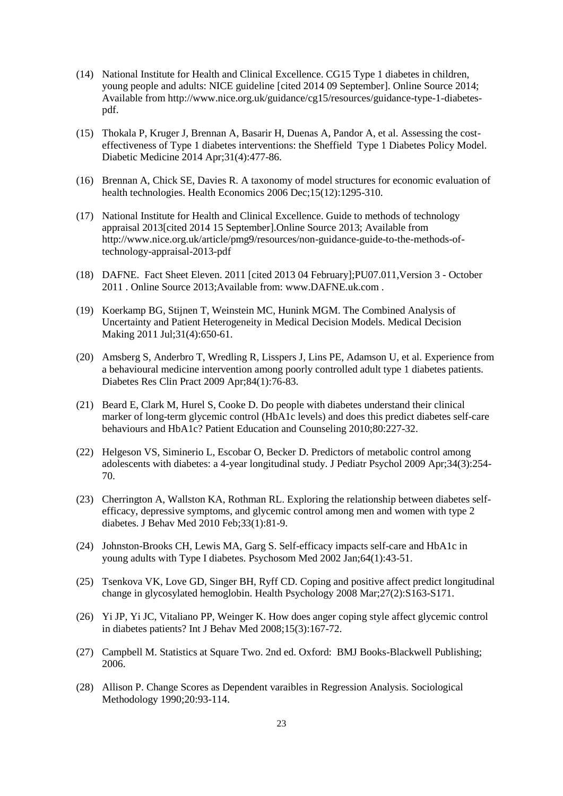- (14) National Institute for Health and Clinical Excellence. CG15 Type 1 diabetes in children, young people and adults: NICE guideline [cited 2014 09 September]. Online Source 2014; Available from http://www.nice.org.uk/guidance/cg15/resources/guidance-type-1-diabetespdf.
- (15) Thokala P, Kruger J, Brennan A, Basarir H, Duenas A, Pandor A, et al. Assessing the costeffectiveness of Type 1 diabetes interventions: the Sheffield Type 1 Diabetes Policy Model. Diabetic Medicine 2014 Apr;31(4):477-86.
- (16) Brennan A, Chick SE, Davies R. A taxonomy of model structures for economic evaluation of health technologies. Health Economics 2006 Dec; 15(12): 1295-310.
- (17) National Institute for Health and Clinical Excellence. Guide to methods of technology appraisal 2013[cited 2014 15 September].Online Source 2013; Available from http://www.nice.org.uk/article/pmg9/resources/non-guidance-guide-to-the-methods-oftechnology-appraisal-2013-pdf
- (18) DAFNE. Fact Sheet Eleven. 2011 [cited 2013 04 February];PU07.011,Version 3 October 2011 . Online Source 2013;Available from: www.DAFNE.uk.com .
- (19) Koerkamp BG, Stijnen T, Weinstein MC, Hunink MGM. The Combined Analysis of Uncertainty and Patient Heterogeneity in Medical Decision Models. Medical Decision Making 2011 Jul;31(4):650-61.
- (20) Amsberg S, Anderbro T, Wredling R, Lisspers J, Lins PE, Adamson U, et al. Experience from a behavioural medicine intervention among poorly controlled adult type 1 diabetes patients. Diabetes Res Clin Pract 2009 Apr;84(1):76-83.
- (21) Beard E, Clark M, Hurel S, Cooke D. Do people with diabetes understand their clinical marker of long-term glycemic control (HbA1c levels) and does this predict diabetes self-care behaviours and HbA1c? Patient Education and Counseling 2010;80:227-32.
- (22) Helgeson VS, Siminerio L, Escobar O, Becker D. Predictors of metabolic control among adolescents with diabetes: a 4-year longitudinal study. J Pediatr Psychol 2009 Apr;34(3):254- 70.
- (23) Cherrington A, Wallston KA, Rothman RL. Exploring the relationship between diabetes selfefficacy, depressive symptoms, and glycemic control among men and women with type 2 diabetes. J Behav Med 2010 Feb;33(1):81-9.
- (24) Johnston-Brooks CH, Lewis MA, Garg S. Self-efficacy impacts self-care and HbA1c in young adults with Type I diabetes. Psychosom Med 2002 Jan;64(1):43-51.
- (25) Tsenkova VK, Love GD, Singer BH, Ryff CD. Coping and positive affect predict longitudinal change in glycosylated hemoglobin. Health Psychology 2008 Mar;27(2):S163-S171.
- (26) Yi JP, Yi JC, Vitaliano PP, Weinger K. How does anger coping style affect glycemic control in diabetes patients? Int J Behav Med 2008;15(3):167-72.
- (27) Campbell M. Statistics at Square Two. 2nd ed. Oxford: BMJ Books-Blackwell Publishing; 2006.
- (28) Allison P. Change Scores as Dependent varaibles in Regression Analysis. Sociological Methodology 1990;20:93-114.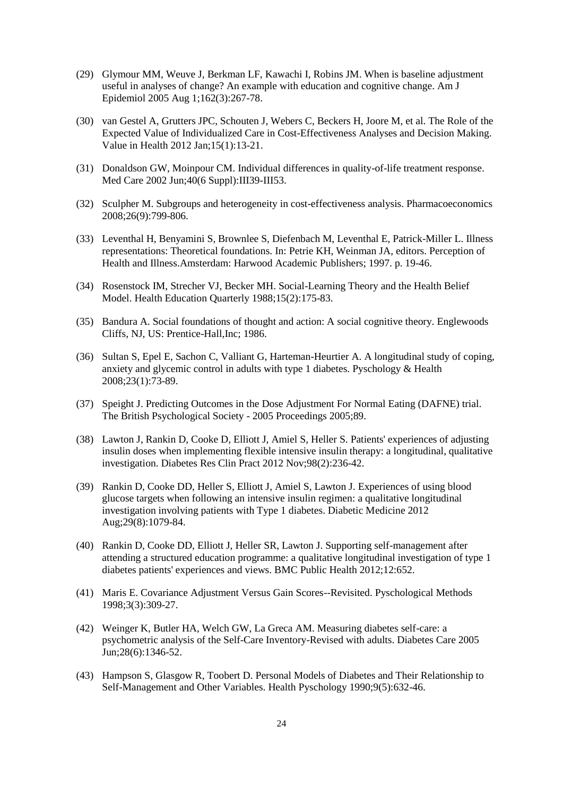- (29) Glymour MM, Weuve J, Berkman LF, Kawachi I, Robins JM. When is baseline adjustment useful in analyses of change? An example with education and cognitive change. Am J Epidemiol 2005 Aug 1;162(3):267-78.
- (30) van Gestel A, Grutters JPC, Schouten J, Webers C, Beckers H, Joore M, et al. The Role of the Expected Value of Individualized Care in Cost-Effectiveness Analyses and Decision Making. Value in Health 2012 Jan;15(1):13-21.
- (31) Donaldson GW, Moinpour CM. Individual differences in quality-of-life treatment response. Med Care 2002 Jun;40(6 Suppl):III39-III53.
- (32) Sculpher M. Subgroups and heterogeneity in cost-effectiveness analysis. Pharmacoeconomics 2008;26(9):799-806.
- (33) Leventhal H, Benyamini S, Brownlee S, Diefenbach M, Leventhal E, Patrick-Miller L. Illness representations: Theoretical foundations. In: Petrie KH, Weinman JA, editors. Perception of Health and Illness.Amsterdam: Harwood Academic Publishers; 1997. p. 19-46.
- (34) Rosenstock IM, Strecher VJ, Becker MH. Social-Learning Theory and the Health Belief Model. Health Education Quarterly 1988;15(2):175-83.
- (35) Bandura A. Social foundations of thought and action: A social cognitive theory. Englewoods Cliffs, NJ, US: Prentice-Hall,Inc; 1986.
- (36) Sultan S, Epel E, Sachon C, Valliant G, Harteman-Heurtier A. A longitudinal study of coping, anxiety and glycemic control in adults with type 1 diabetes. Pyschology & Health 2008;23(1):73-89.
- (37) Speight J. Predicting Outcomes in the Dose Adjustment For Normal Eating (DAFNE) trial. The British Psychological Society - 2005 Proceedings 2005;89.
- (38) Lawton J, Rankin D, Cooke D, Elliott J, Amiel S, Heller S. Patients' experiences of adjusting insulin doses when implementing flexible intensive insulin therapy: a longitudinal, qualitative investigation. Diabetes Res Clin Pract 2012 Nov;98(2):236-42.
- (39) Rankin D, Cooke DD, Heller S, Elliott J, Amiel S, Lawton J. Experiences of using blood glucose targets when following an intensive insulin regimen: a qualitative longitudinal investigation involving patients with Type 1 diabetes. Diabetic Medicine 2012 Aug;29(8):1079-84.
- (40) Rankin D, Cooke DD, Elliott J, Heller SR, Lawton J. Supporting self-management after attending a structured education programme: a qualitative longitudinal investigation of type 1 diabetes patients' experiences and views. BMC Public Health 2012;12:652.
- (41) Maris E. Covariance Adjustment Versus Gain Scores--Revisited. Pyschological Methods 1998;3(3):309-27.
- (42) Weinger K, Butler HA, Welch GW, La Greca AM. Measuring diabetes self-care: a psychometric analysis of the Self-Care Inventory-Revised with adults. Diabetes Care 2005 Jun;28(6):1346-52.
- (43) Hampson S, Glasgow R, Toobert D. Personal Models of Diabetes and Their Relationship to Self-Management and Other Variables. Health Pyschology 1990;9(5):632-46.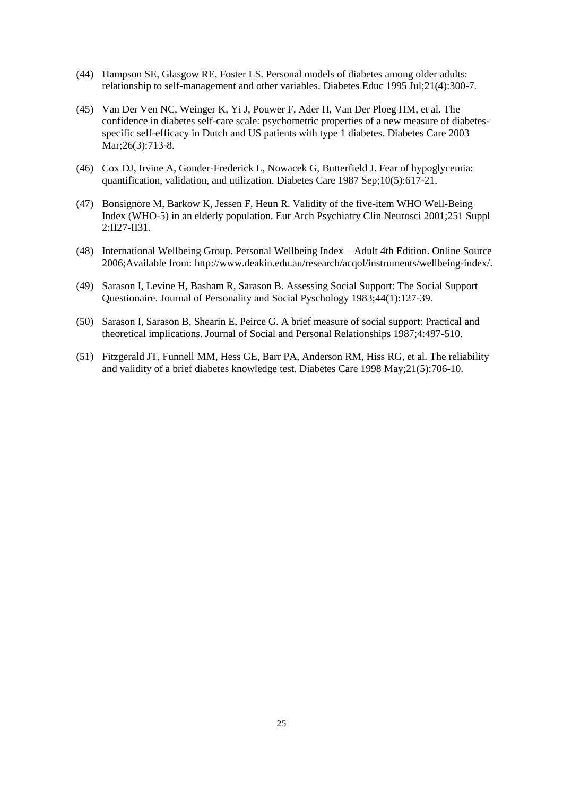- (44) Hampson SE, Glasgow RE, Foster LS. Personal models of diabetes among older adults: relationship to self-management and other variables. Diabetes Educ 1995 Jul;21(4):300-7.
- (45) Van Der Ven NC, Weinger K, Yi J, Pouwer F, Ader H, Van Der Ploeg HM, et al. The confidence in diabetes self-care scale: psychometric properties of a new measure of diabetesspecific self-efficacy in Dutch and US patients with type 1 diabetes. Diabetes Care 2003 Mar; 26(3): 713-8.
- (46) Cox DJ, Irvine A, Gonder-Frederick L, Nowacek G, Butterfield J. Fear of hypoglycemia: quantification, validation, and utilization. Diabetes Care 1987 Sep;10(5):617-21.
- (47) Bonsignore M, Barkow K, Jessen F, Heun R. Validity of the five-item WHO Well-Being Index (WHO-5) in an elderly population. Eur Arch Psychiatry Clin Neurosci 2001;251 Suppl 2:II27-II31.
- (48) International Wellbeing Group. Personal Wellbeing Index Adult 4th Edition. Online Source 2006;Available from: http://www.deakin.edu.au/research/acqol/instruments/wellbeing-index/.
- (49) Sarason I, Levine H, Basham R, Sarason B. Assessing Social Support: The Social Support Questionaire. Journal of Personality and Social Pyschology 1983;44(1):127-39.
- (50) Sarason I, Sarason B, Shearin E, Peirce G. A brief measure of social support: Practical and theoretical implications. Journal of Social and Personal Relationships 1987;4:497-510.
- (51) Fitzgerald JT, Funnell MM, Hess GE, Barr PA, Anderson RM, Hiss RG, et al. The reliability and validity of a brief diabetes knowledge test. Diabetes Care 1998 May;21(5):706-10.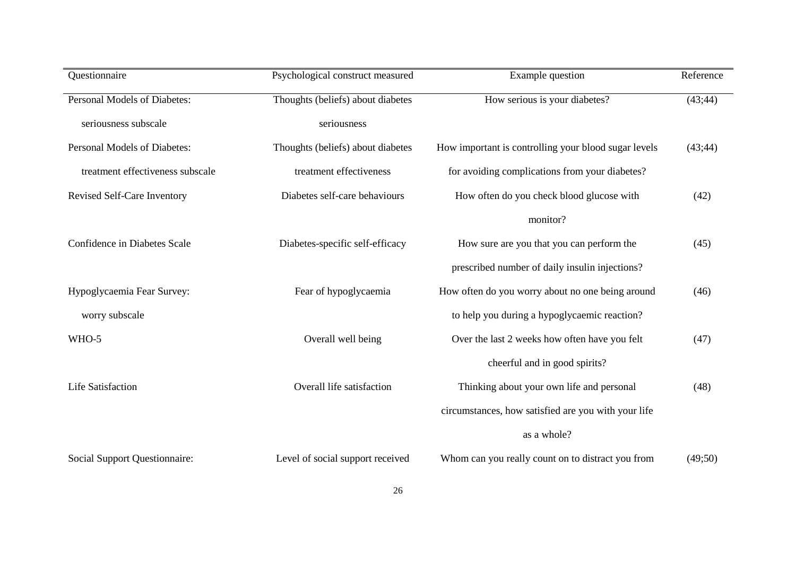| Questionnaire                        | Psychological construct measured  | Example question                                     | Reference |
|--------------------------------------|-----------------------------------|------------------------------------------------------|-----------|
| Personal Models of Diabetes:         | Thoughts (beliefs) about diabetes | How serious is your diabetes?                        | (43; 44)  |
| seriousness subscale                 | seriousness                       |                                                      |           |
| Personal Models of Diabetes:         | Thoughts (beliefs) about diabetes | How important is controlling your blood sugar levels | (43; 44)  |
| treatment effectiveness subscale     | treatment effectiveness           | for avoiding complications from your diabetes?       |           |
| Revised Self-Care Inventory          | Diabetes self-care behaviours     | How often do you check blood glucose with            | (42)      |
|                                      |                                   | monitor?                                             |           |
| Confidence in Diabetes Scale         | Diabetes-specific self-efficacy   | How sure are you that you can perform the            | (45)      |
|                                      |                                   | prescribed number of daily insulin injections?       |           |
| Hypoglycaemia Fear Survey:           | Fear of hypoglycaemia             | How often do you worry about no one being around     | (46)      |
| worry subscale                       |                                   | to help you during a hypoglycaemic reaction?         |           |
| WHO-5                                | Overall well being                | Over the last 2 weeks how often have you felt        | (47)      |
|                                      |                                   | cheerful and in good spirits?                        |           |
| <b>Life Satisfaction</b>             | Overall life satisfaction         | Thinking about your own life and personal            | (48)      |
|                                      |                                   | circumstances, how satisfied are you with your life  |           |
|                                      |                                   | as a whole?                                          |           |
| <b>Social Support Questionnaire:</b> | Level of social support received  | Whom can you really count on to distract you from    | (49;50)   |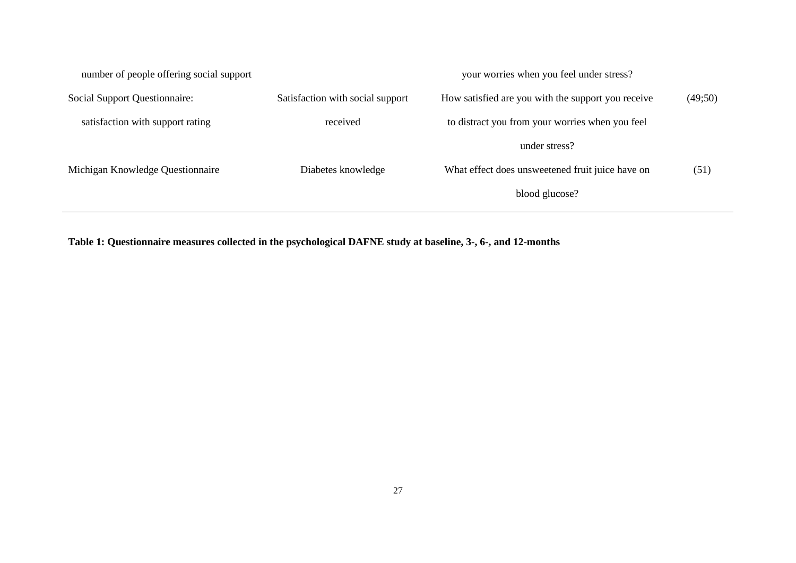| number of people offering social support |                                  | your worries when you feel under stress?           |         |
|------------------------------------------|----------------------------------|----------------------------------------------------|---------|
| Social Support Questionnaire:            | Satisfaction with social support | How satisfied are you with the support you receive | (49;50) |
| satisfaction with support rating         | received                         | to distract you from your worries when you feel    |         |
|                                          |                                  | under stress?                                      |         |
| Michigan Knowledge Questionnaire         | Diabetes knowledge               | What effect does unsweetened fruit juice have on   | (51)    |
|                                          |                                  | blood glucose?                                     |         |
|                                          |                                  |                                                    |         |

**Table 1: Questionnaire measures collected in the psychological DAFNE study at baseline, 3-, 6-, and 12-months**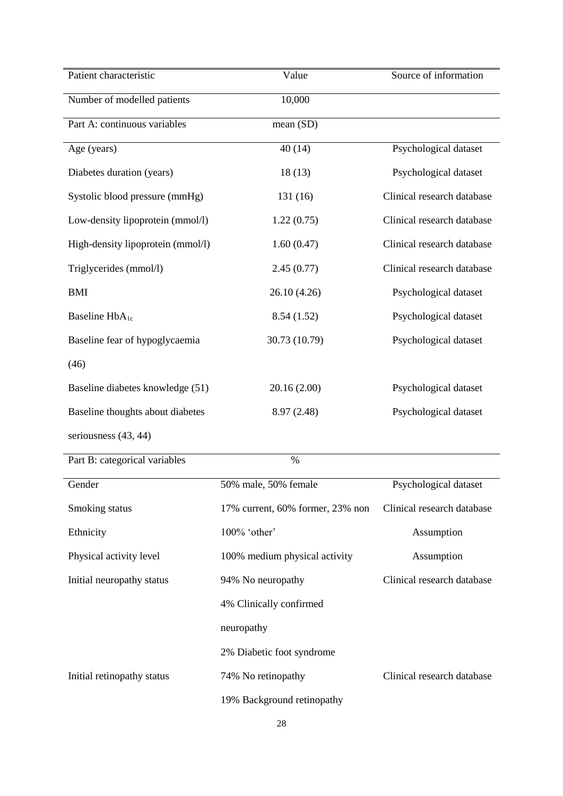| Patient characteristic            | Value                            | Source of information      |
|-----------------------------------|----------------------------------|----------------------------|
| Number of modelled patients       | 10,000                           |                            |
| Part A: continuous variables      | mean (SD)                        |                            |
| Age (years)                       | 40(14)                           | Psychological dataset      |
| Diabetes duration (years)         | 18(13)                           | Psychological dataset      |
| Systolic blood pressure (mmHg)    | 131(16)                          | Clinical research database |
| Low-density lipoprotein (mmol/l)  | 1.22(0.75)                       | Clinical research database |
| High-density lipoprotein (mmol/l) | 1.60(0.47)                       | Clinical research database |
| Triglycerides (mmol/l)            | 2.45(0.77)                       | Clinical research database |
| <b>BMI</b>                        | 26.10 (4.26)                     | Psychological dataset      |
| Baseline HbA <sub>1c</sub>        | 8.54(1.52)                       | Psychological dataset      |
| Baseline fear of hypoglycaemia    | 30.73 (10.79)                    | Psychological dataset      |
| (46)                              |                                  |                            |
| Baseline diabetes knowledge (51)  | 20.16 (2.00)                     | Psychological dataset      |
| Baseline thoughts about diabetes  | 8.97 (2.48)                      | Psychological dataset      |
| seriousness (43, 44)              |                                  |                            |
| Part B: categorical variables     | $\%$                             |                            |
| Gender                            | 50% male, 50% female             | Psychological dataset      |
| Smoking status                    | 17% current, 60% former, 23% non | Clinical research database |
| Ethnicity                         | 100% 'other'                     | Assumption                 |
| Physical activity level           | 100% medium physical activity    | Assumption                 |
| Initial neuropathy status         | 94% No neuropathy                | Clinical research database |
|                                   | 4% Clinically confirmed          |                            |
|                                   | neuropathy                       |                            |
|                                   | 2% Diabetic foot syndrome        |                            |
| Initial retinopathy status        | 74% No retinopathy               | Clinical research database |
|                                   | 19% Background retinopathy       |                            |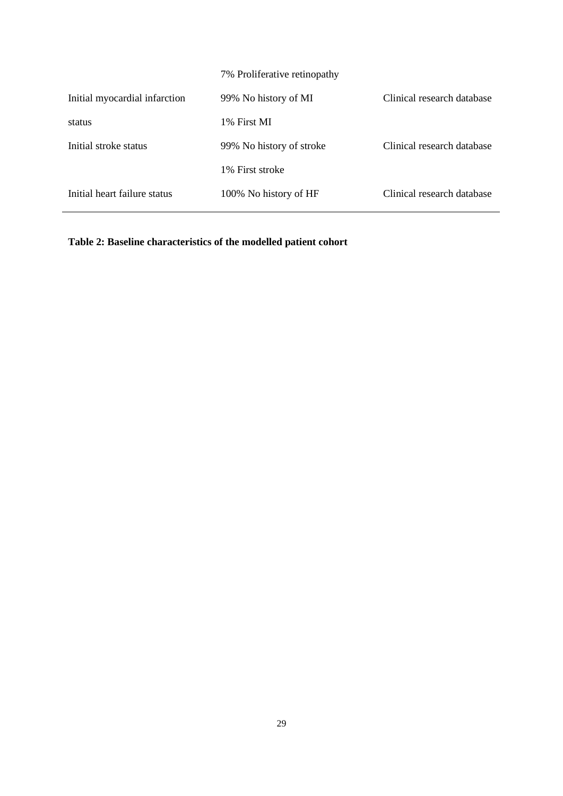|                               | 7% Proliferative retinopathy |                            |
|-------------------------------|------------------------------|----------------------------|
| Initial myocardial infarction | 99% No history of MI         | Clinical research database |
| status                        | 1% First MI                  |                            |
| Initial stroke status         | 99% No history of stroke     | Clinical research database |
|                               | 1% First stroke              |                            |
| Initial heart failure status  | 100% No history of HF        | Clinical research database |

**Table 2: Baseline characteristics of the modelled patient cohort**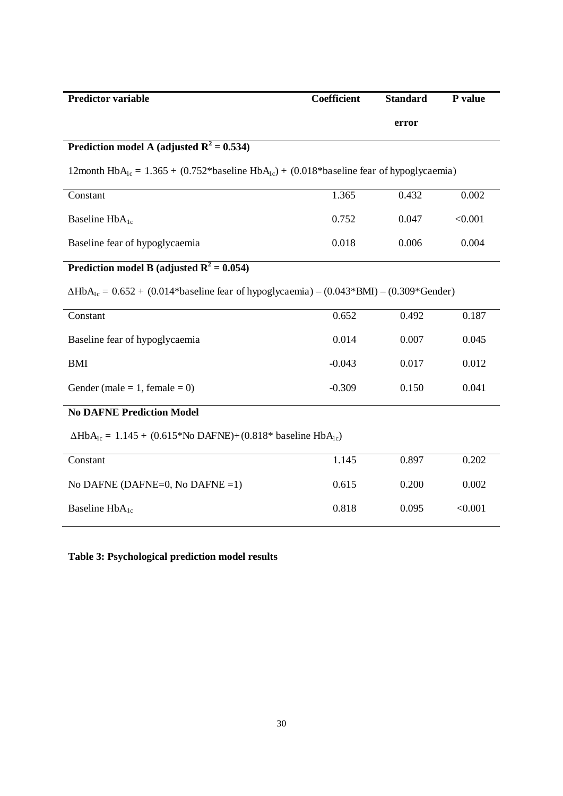| <b>Predictor variable</b>                                                                                        | Coefficient | <b>Standard</b> | P value |
|------------------------------------------------------------------------------------------------------------------|-------------|-----------------|---------|
|                                                                                                                  |             | error           |         |
| Prediction model A (adjusted $R^2 = 0.534$ )                                                                     |             |                 |         |
| 12month HbA <sub>1c</sub> = 1.365 + (0.752*baseline HbA <sub>1c</sub> ) + (0.018*baseline fear of hypoglycaemia) |             |                 |         |
| Constant                                                                                                         | 1.365       | 0.432           | 0.002   |
| Baseline HbA <sub>1c</sub>                                                                                       | 0.752       | 0.047           | < 0.001 |
| Baseline fear of hypoglycaemia                                                                                   | 0.018       | 0.006           | 0.004   |
| Prediction model B (adjusted $R^2 = 0.054$ )                                                                     |             |                 |         |
| $\Delta HbA_{1c} = 0.652 + (0.014*$ baseline fear of hypoglycaemia) – $(0.043*BMI)$ – $(0.309*Gender)$           |             |                 |         |
| Constant                                                                                                         | 0.652       | 0.492           | 0.187   |
| Baseline fear of hypoglycaemia                                                                                   | 0.014       | 0.007           | 0.045   |
| <b>BMI</b>                                                                                                       | $-0.043$    | 0.017           | 0.012   |
| Gender (male = 1, female = 0)                                                                                    | $-0.309$    | 0.150           | 0.041   |
| <b>No DAFNE Prediction Model</b>                                                                                 |             |                 |         |
| $\Delta HbA_{1c} = 1.145 + (0.615 * No DAFNE) + (0.818 * baseline HbA_{1c})$                                     |             |                 |         |
| Constant                                                                                                         | 1.145       | 0.897           | 0.202   |
| No DAFNE (DAFNE=0, No DAFNE =1)                                                                                  | 0.615       | 0.200           | 0.002   |
| Baseline $HbA_{1c}$                                                                                              | 0.818       | 0.095           | < 0.001 |

**Table 3: Psychological prediction model results**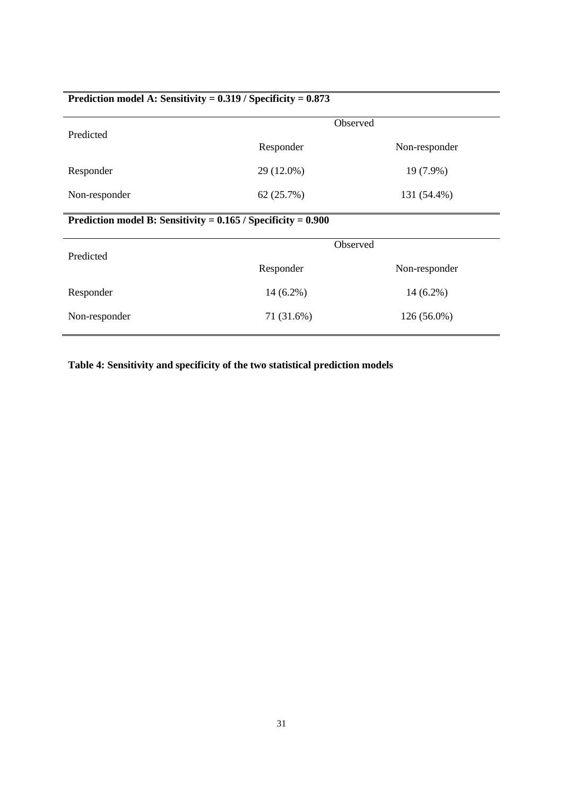# **Prediction model A: Sensitivity = 0.319 / Specificity = 0.873**

|                                                                   | Observed    |               |  |  |
|-------------------------------------------------------------------|-------------|---------------|--|--|
| Predicted                                                         | Responder   | Non-responder |  |  |
| Responder                                                         | 29 (12.0%)  | 19 (7.9%)     |  |  |
| Non-responder                                                     | 62(25.7%)   | 131 (54.4%)   |  |  |
| Prediction model B: Sensitivity = $0.165$ / Specificity = $0.900$ |             |               |  |  |
| Predicted                                                         |             | Observed      |  |  |
|                                                                   | Responder   | Non-responder |  |  |
| Responder                                                         | $14(6.2\%)$ | $14(6.2\%)$   |  |  |
| Non-responder                                                     | 71 (31.6%)  | 126 (56.0%)   |  |  |

**Table 4: Sensitivity and specificity of the two statistical prediction models**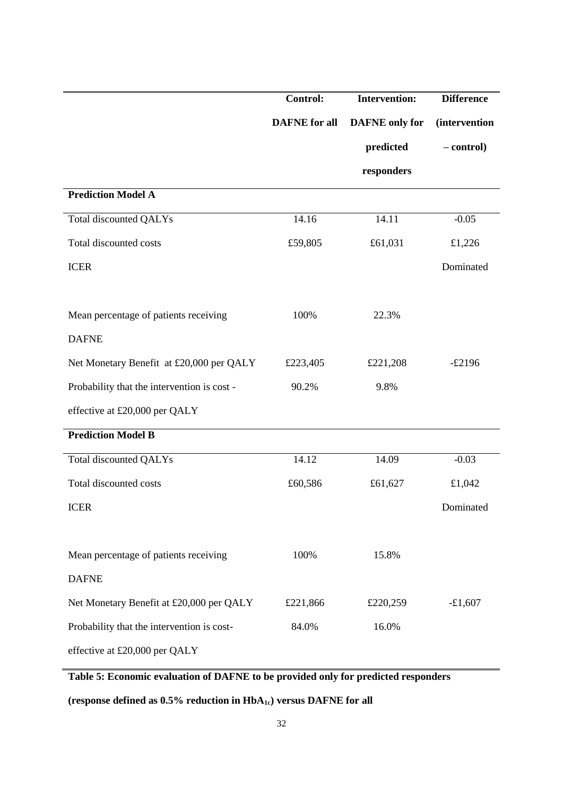|                                             | <b>Control:</b>      | <b>Intervention:</b>  | <b>Difference</b>     |
|---------------------------------------------|----------------------|-----------------------|-----------------------|
|                                             | <b>DAFNE</b> for all | <b>DAFNE</b> only for | <i>(intervention)</i> |
|                                             |                      | predicted             | - control)            |
|                                             |                      | responders            |                       |
| <b>Prediction Model A</b>                   |                      |                       |                       |
| <b>Total discounted QALYs</b>               | 14.16                | 14.11                 | $-0.05$               |
| Total discounted costs                      | £59,805              | £61,031               | £1,226                |
| <b>ICER</b>                                 |                      |                       | Dominated             |
|                                             |                      |                       |                       |
| Mean percentage of patients receiving       | 100%                 | 22.3%                 |                       |
| <b>DAFNE</b>                                |                      |                       |                       |
| Net Monetary Benefit at £20,000 per QALY    | £223,405             | £221,208              | $-£2196$              |
| Probability that the intervention is cost - | 90.2%                | 9.8%                  |                       |
| effective at £20,000 per QALY               |                      |                       |                       |
| <b>Prediction Model B</b>                   |                      |                       |                       |
| <b>Total discounted QALYs</b>               | 14.12                | 14.09                 | $-0.03$               |
| Total discounted costs                      | £60,586              | £61,627               | £1,042                |
| <b>ICER</b>                                 |                      |                       | Dominated             |
|                                             |                      |                       |                       |
| Mean percentage of patients receiving       | 100%                 | 15.8%                 |                       |
| <b>DAFNE</b>                                |                      |                       |                       |
| Net Monetary Benefit at £20,000 per QALY    | £221,866             | £220,259              | $-£1,607$             |
| Probability that the intervention is cost-  | 84.0%                | 16.0%                 |                       |
| effective at £20,000 per QALY               |                      |                       |                       |

**Table 5: Economic evaluation of DAFNE to be provided only for predicted responders** 

**(response defined as 0.5% reduction in HbA1c) versus DAFNE for all**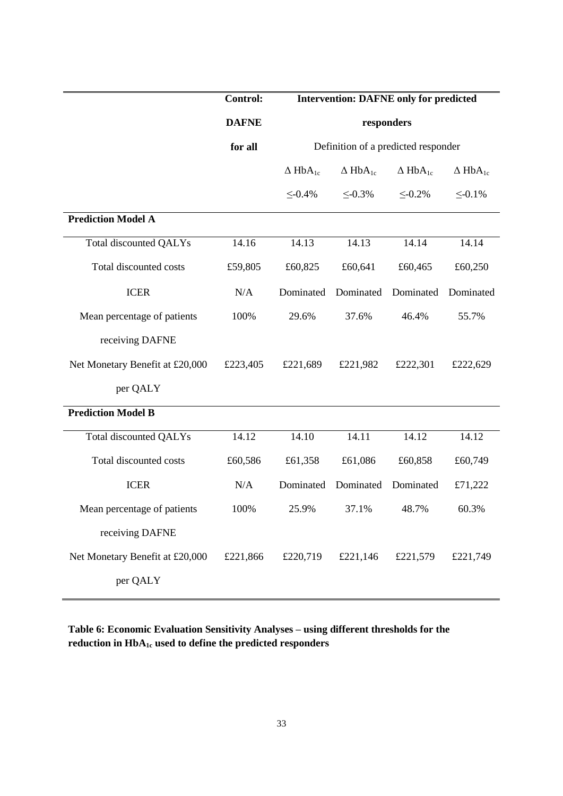|                                 | <b>Control:</b> | <b>Intervention: DAFNE only for predicted</b> |                            |                                     |                            |
|---------------------------------|-----------------|-----------------------------------------------|----------------------------|-------------------------------------|----------------------------|
|                                 | <b>DAFNE</b>    |                                               |                            | responders                          |                            |
|                                 | for all         |                                               |                            | Definition of a predicted responder |                            |
|                                 |                 | $\Delta$ HbA <sub>1c</sub>                    | $\Delta$ HbA <sub>1c</sub> | $\Delta$ HbA <sub>1c</sub>          | $\Delta$ HbA <sub>1c</sub> |
|                                 |                 | $\leq 0.4\%$                                  | $\leq -0.3\%$              | $\leq -0.2\%$                       | $\leq -0.1\%$              |
| <b>Prediction Model A</b>       |                 |                                               |                            |                                     |                            |
| <b>Total discounted QALYs</b>   | 14.16           | 14.13                                         | 14.13                      | 14.14                               | 14.14                      |
| Total discounted costs          | £59,805         | £60,825                                       | £60,641                    | £60,465                             | £60,250                    |
| <b>ICER</b>                     | N/A             | Dominated                                     | Dominated                  | Dominated                           | Dominated                  |
| Mean percentage of patients     | 100%            | 29.6%                                         | 37.6%                      | 46.4%                               | 55.7%                      |
| receiving DAFNE                 |                 |                                               |                            |                                     |                            |
| Net Monetary Benefit at £20,000 | £223,405        | £221,689                                      | £221,982                   | £222,301                            | £222,629                   |
| per QALY                        |                 |                                               |                            |                                     |                            |
| <b>Prediction Model B</b>       |                 |                                               |                            |                                     |                            |
| Total discounted QALYs          | 14.12           | 14.10                                         | 14.11                      | 14.12                               | 14.12                      |
| Total discounted costs          | £60,586         | £61,358                                       | £61,086                    | £60,858                             | £60,749                    |
| <b>ICER</b>                     | N/A             | Dominated                                     | Dominated                  | Dominated                           | £71,222                    |
| Mean percentage of patients     | 100%            | 25.9%                                         | 37.1%                      | 48.7%                               | 60.3%                      |
| receiving DAFNE                 |                 |                                               |                            |                                     |                            |
| Net Monetary Benefit at £20,000 | £221,866        | £220,719                                      | £221,146                   | £221,579                            | £221,749                   |
| per QALY                        |                 |                                               |                            |                                     |                            |

**Table 6: Economic Evaluation Sensitivity Analyses – using different thresholds for the reduction in HbA1c used to define the predicted responders**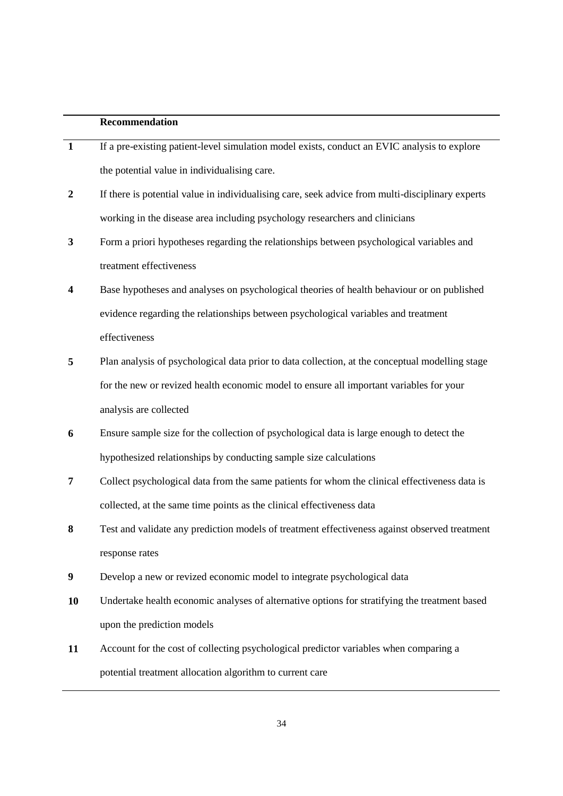## **Recommendation**

| $\mathbf{1}$     | If a pre-existing patient-level simulation model exists, conduct an EVIC analysis to explore     |
|------------------|--------------------------------------------------------------------------------------------------|
|                  | the potential value in individualising care.                                                     |
| $\boldsymbol{2}$ | If there is potential value in individualising care, seek advice from multi-disciplinary experts |
|                  | working in the disease area including psychology researchers and clinicians                      |
| $\mathbf{3}$     | Form a priori hypotheses regarding the relationships between psychological variables and         |
|                  | treatment effectiveness                                                                          |
| 4                | Base hypotheses and analyses on psychological theories of health behaviour or on published       |
|                  | evidence regarding the relationships between psychological variables and treatment               |
|                  | effectiveness                                                                                    |
| 5                | Plan analysis of psychological data prior to data collection, at the conceptual modelling stage  |
|                  | for the new or revized health economic model to ensure all important variables for your          |
|                  | analysis are collected                                                                           |
| 6                | Ensure sample size for the collection of psychological data is large enough to detect the        |
|                  | hypothesized relationships by conducting sample size calculations                                |
| 7                | Collect psychological data from the same patients for whom the clinical effectiveness data is    |
|                  | collected, at the same time points as the clinical effectiveness data                            |
| 8                | Test and validate any prediction models of treatment effectiveness against observed treatment    |
|                  | response rates                                                                                   |
| 9                | Develop a new or revized economic model to integrate psychological data                          |
| 10               | Undertake health economic analyses of alternative options for stratifying the treatment based    |
|                  | upon the prediction models                                                                       |
| 11               | Account for the cost of collecting psychological predictor variables when comparing a            |
|                  | potential treatment allocation algorithm to current care                                         |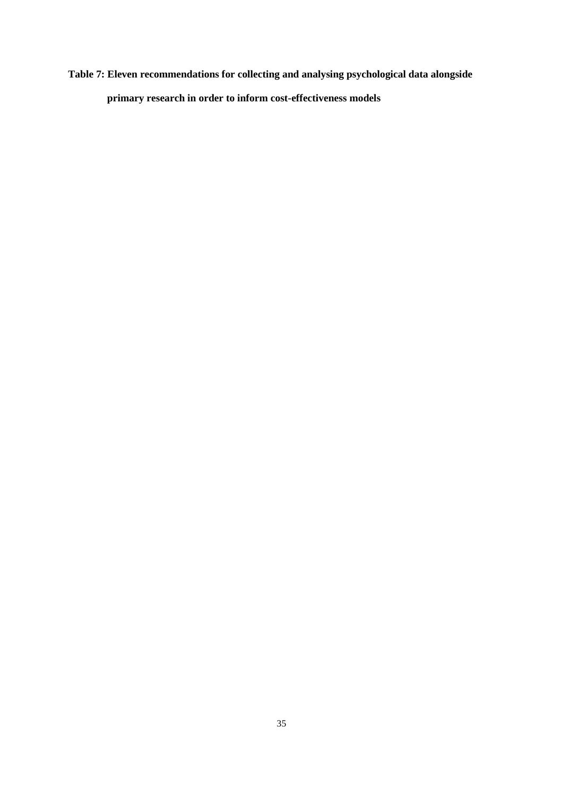**Table 7: Eleven recommendations for collecting and analysing psychological data alongside primary research in order to inform cost-effectiveness models**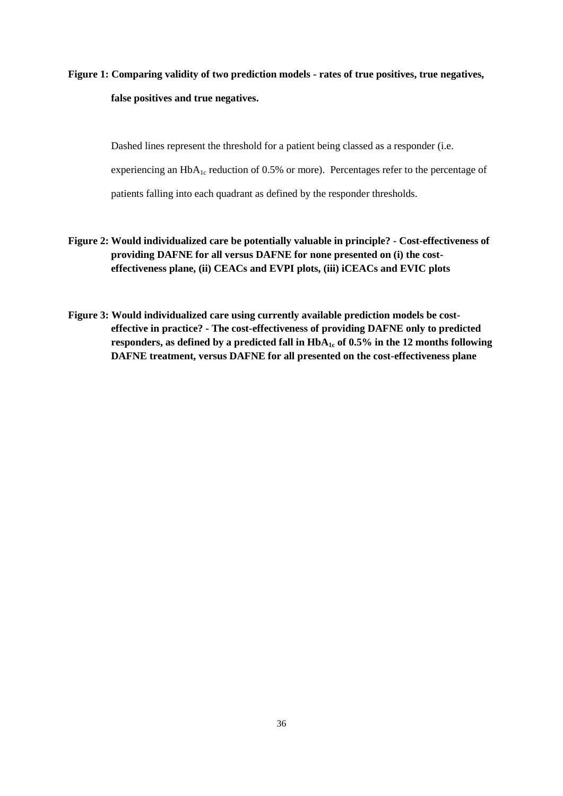# **Figure 1: Comparing validity of two prediction models - rates of true positives, true negatives, false positives and true negatives.**

Dashed lines represent the threshold for a patient being classed as a responder (i.e. experiencing an  $HbA_{1c}$  reduction of 0.5% or more). Percentages refer to the percentage of patients falling into each quadrant as defined by the responder thresholds.

- **Figure 2: Would individualized care be potentially valuable in principle? Cost-effectiveness of providing DAFNE for all versus DAFNE for none presented on (i) the costeffectiveness plane, (ii) CEACs and EVPI plots, (iii) iCEACs and EVIC plots**
- **Figure 3: Would individualized care using currently available prediction models be costeffective in practice? - The cost-effectiveness of providing DAFNE only to predicted**  responders, as defined by a predicted fall in  $HbA_1c$  of 0.5% in the 12 months following **DAFNE treatment, versus DAFNE for all presented on the cost-effectiveness plane**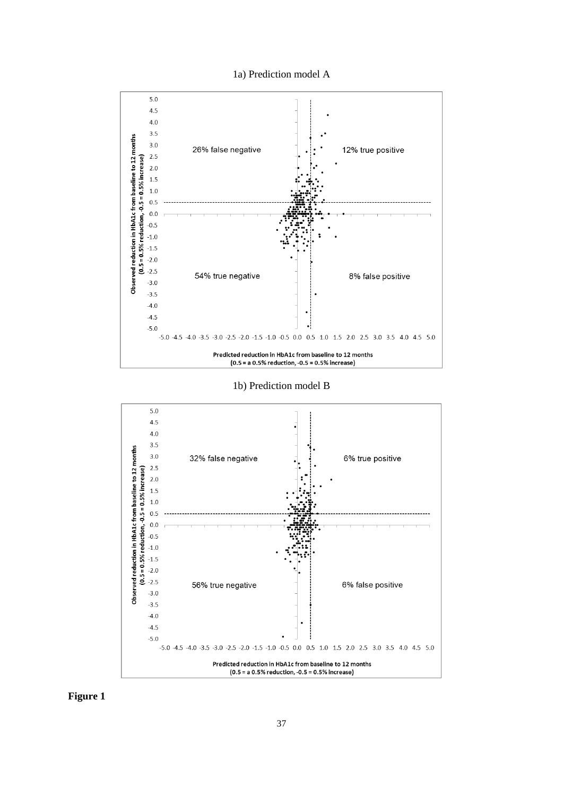1a) Prediction model A



1b) Prediction model B



**Figure 1**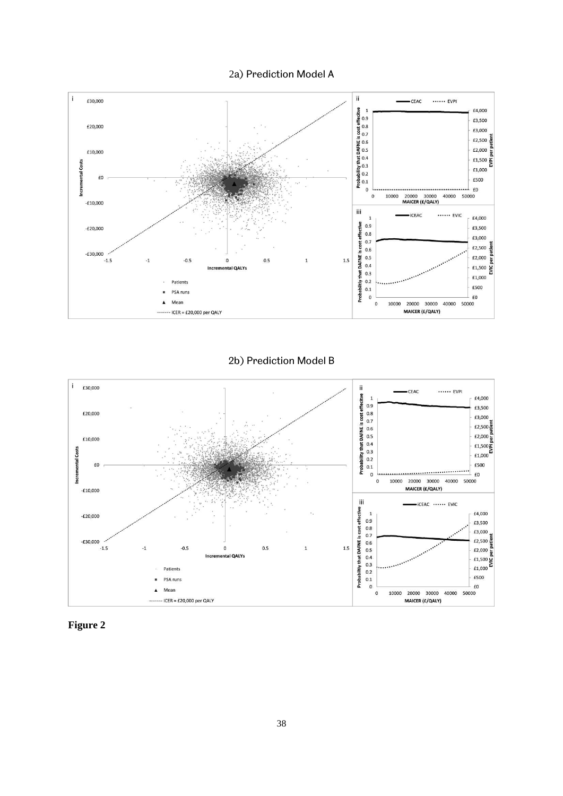2a) Prediction Model A



2b) Prediction Model B



**Figure 2**